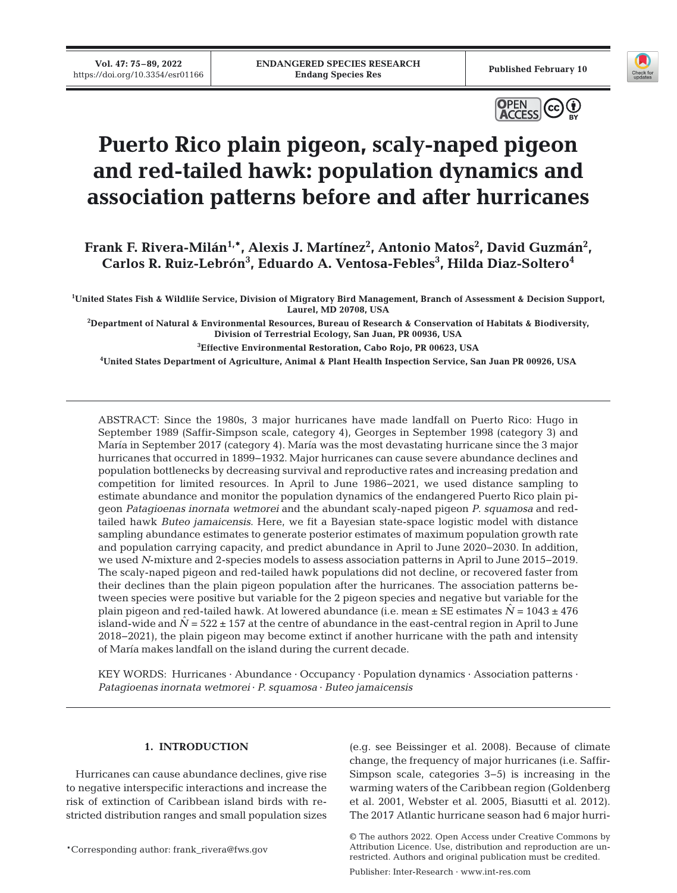



# **Puerto Rico plain pigeon, scaly-naped pigeon and red-tailed hawk: population dynamics and association patterns before and after hurricanes**

Frank F. Rivera-Milán<sup>1,\*</sup>, Alexis J. Martínez<sup>2</sup>, Antonio Matos<sup>2</sup>, David Guzmán<sup>2</sup>, **Carlos R. Ruiz-Lebrón3 , Eduardo A. Ventosa-Febles3 , Hilda Diaz-Soltero4** 

**1 United States Fish & Wildlife Service, Division of Migratory Bird Management, Branch of Assessment & Decision Support, Laurel, MD 20708, USA** 

**2 Department of Natural & Environmental Resources, Bureau of Research & Conservation of Habitats & Biodiversity, Division of Terrestrial Ecology, San Juan, PR 00936, USA** 

**3 Effective Environmental Restoration, Cabo Rojo, PR 00623, USA** 

**4 United States Department of Agriculture, Animal & Plant Health Inspection Service, San Juan PR 00926, USA**

ABSTRACT: Since the 1980s, 3 major hurricanes have made landfall on Puerto Rico: Hugo in September 1989 (Saffir-Simpson scale, category 4), Georges in September 1998 (category 3) and María in September 2017 (category 4). María was the most devastating hurricane since the 3 major hurricanes that occurred in 1899−1932. Major hurricanes can cause severe abundance declines and population bottlenecks by de creasing survival and reproductive rates and increasing predation and competition for limited resources. In April to June 1986−2021, we used distance sampling to estimate abundance and monitor the population dynamics of the endangered Puerto Rico plain pigeon *Patagioenas inornata wetmorei* and the abundant scaly-naped pigeon *P*. *squamosa* and redtailed hawk *Buteo jamaicensis*. Here, we fit a Bayesian state-space logistic model with distance sampling abundance estimates to generate posterior estimates of maximum population growth rate and population carrying capacity, and predict abundance in April to June 2020−2030. In addition, we used *N*-mixture and 2-species models to assess association patterns in April to June 2015−2019. The scaly-naped pigeon and red-tailed hawk populations did not decline, or recovered faster from their declines than the plain pigeon population after the hurricanes. The association patterns between species were positive but variable for the 2 pigeon species and negative but variable for the plain pigeon and red-tailed hawk. At lowered abundance (i.e. mean  $\pm$  SE estimates  $N = 1043 \pm 476$ island-wide and  $\hat{N}$  = 522  $\pm$  157 at the centre of abundance in the east-central region in April to June 2018−2021), the plain pigeon may become extinct if another hurricane with the path and intensity of María makes landfall on the island during the current decade.

KEY WORDS: Hurricanes · Abundance · Occupancy · Population dynamics · Association patterns · *Patagioenas inornata wetmorei* · *P. squamosa* · *Buteo jamaicensis*

# **1. INTRODUCTION**

Hurricanes can cause abundance declines, give rise to negative interspecific interactions and increase the risk of extinction of Caribbean island birds with restricted distribution ranges and small population sizes

\*Corresponding author: frank\_rivera@fws.gov

(e.g. see Beissinger et al. 2008). Because of climate change, the frequency of major hurricanes (i.e. Saffir-Simpson scale, categories 3−5) is increasing in the warming waters of the Caribbean region (Goldenberg et al. 2001, Webster et al. 2005, Biasutti et al. 2012). The 2017 Atlantic hurricane season had 6 major hurri-

Publisher: Inter-Research · www.int-res.com

<sup>©</sup> The authors 2022. Open Access under Creative Commons by Attribution Licence. Use, distribution and reproduction are unrestricted. Authors and original publication must be credited.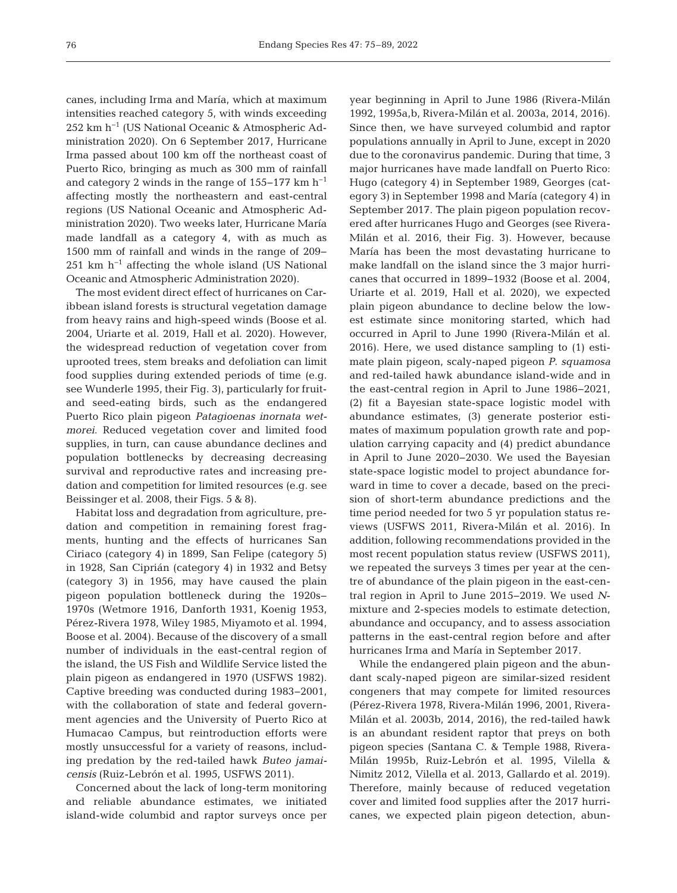canes, including Irma and María, which at maximum intensities reached category 5, with winds exceeding 252 km h−1 (US National Oceanic & Atmospheric Administration 2020). On 6 September 2017, Hurricane Irma passed about 100 km off the northeast coast of Puerto Rico, bringing as much as 300 mm of rainfall and category 2 winds in the range of 155−177 km h−1 affecting mostly the northeastern and east-central regions (US National Oceanic and Atmospheric Administration 2020). Two weeks later, Hurricane María made landfall as a category 4, with as much as 1500 mm of rainfall and winds in the range of 209− 251 km h<sup>-1</sup> affecting the whole island (US National Oceanic and Atmospheric Administration 2020).

The most evident direct effect of hurricanes on Caribbean island forests is structural vegetation damage from heavy rains and high-speed winds (Boose et al. 2004, Uriarte et al. 2019, Hall et al. 2020). However, the widespread reduction of vegetation cover from up rooted trees, stem breaks and defoliation can limit food supplies during extended periods of time (e.g. see Wunderle 1995, their Fig. 3), particularly for fruitand seed-eating birds, such as the endangered Puerto Rico plain pigeon *Patagioenas inornata wet morei*. Reduced vegetation cover and limited food supplies, in turn, can cause abundance declines and population bottlenecks by decreasing decreasing survival and reproductive rates and increasing predation and competition for limited resources (e.g. see Beissinger et al. 2008, their Figs. 5 & 8).

Habitat loss and degradation from agriculture, predation and competition in remaining forest fragments, hunting and the effects of hurricanes San Ciriaco (category 4) in 1899, San Felipe (category 5) in 1928, San Ciprián (category 4) in 1932 and Betsy (category 3) in 1956, may have caused the plain pigeon population bottleneck during the 1920s− 1970s (Wetmore 1916, Danforth 1931, Koenig 1953, Pérez-Rivera 1978, Wiley 1985, Miyamoto et al. 1994, Boose et al. 2004). Because of the discovery of a small number of individuals in the east-central region of the island, the US Fish and Wildlife Service listed the plain pigeon as endangered in 1970 (USFWS 1982). Captive breeding was conducted during 1983−2001, with the collaboration of state and federal government agencies and the University of Puerto Rico at Humacao Campus, but reintroduction efforts were mostly unsuccessful for a variety of reasons, including predation by the red-tailed hawk *Buteo jamai censis* (Ruiz-Lebrón et al. 1995, USFWS 2011).

Concerned about the lack of long-term monitoring and reliable abundance estimates, we initiated island-wide columbid and raptor surveys once per year beginning in April to June 1986 (Rivera-Milán 1992, 1995a,b, Rivera-Milán et al. 2003a, 2014, 2016). Since then, we have surveyed columbid and raptor populations annually in April to June, except in 2020 due to the coronavirus pandemic. During that time, 3 major hurricanes have made landfall on Puerto Rico: Hugo (category 4) in September 1989, Georges (category 3) in September 1998 and María (category 4) in September 2017. The plain pigeon population recovered after hurricanes Hugo and Georges (see Rivera-Milán et al. 2016, their Fig. 3). However, because María has been the most devastating hurricane to make landfall on the island since the 3 major hurricanes that occurred in 1899−1932 (Boose et al. 2004, Uriarte et al. 2019, Hall et al. 2020), we expected plain pigeon abundance to decline below the lowest estimate since monitoring started, which had occurred in April to June 1990 (Rivera-Milán et al. 2016). Here, we used distance sampling to (1) estimate plain pigeon, scaly-naped pigeon *P*. *squamosa* and red-tailed hawk abundance island-wide and in the east-central region in April to June 1986−2021, (2) fit a Bayesian state-space logistic model with abundance estimates, (3) generate posterior estimates of maximum population growth rate and population carrying capacity and (4) predict abundance in April to June 2020−2030. We used the Bayesian state-space logistic model to project abundance forward in time to cover a decade, based on the precision of short-term abundance predictions and the time period needed for two 5 yr population status reviews (USFWS 2011, Rivera-Milán et al. 2016). In addition, following recommendations provided in the most recent population status review (USFWS 2011), we repeated the surveys 3 times per year at the centre of abundance of the plain pigeon in the east-central region in April to June 2015−2019. We used *N*mixture and 2-species models to estimate detection, abundance and occupancy, and to assess association patterns in the east-central region before and after hurricanes Irma and María in September 2017.

While the endangered plain pigeon and the abundant scaly-naped pigeon are similar-sized resident congeners that may compete for limited resources (Pérez-Rivera 1978, Rivera-Milán 1996, 2001, Rivera-Milán et al. 2003b, 2014, 2016), the red-tailed hawk is an abundant resident raptor that preys on both pigeon species (Santana C. & Temple 1988, Rivera-Milán 1995b, Ruiz-Lebrón et al. 1995, Vilella & Nimitz 2012, Vilella et al. 2013, Gallardo et al. 2019). Therefore, mainly because of reduced vegetation cover and limited food supplies after the 2017 hurricanes, we expected plain pigeon detection, abun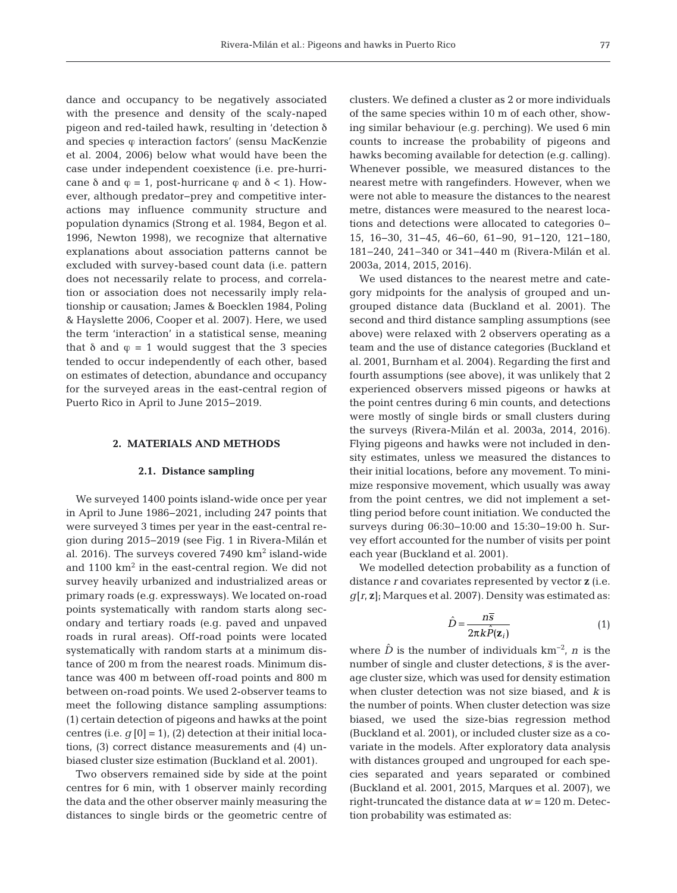dance and occupancy to be negatively associated with the presence and density of the scaly-naped pigeon and red-tailed hawk, resulting in 'detection δ and species  $\varphi$  interaction factors' (sensu MacKenzie et al. 2004, 2006) below what would have been the case under independent coexistence (i.e. pre-hurricane  $\delta$  and  $\varphi = 1$ , post-hurricane  $\varphi$  and  $\delta < 1$ ). However, although predator−prey and competitive interactions may influence community structure and population dynamics (Strong et al. 1984, Begon et al. 1996, Newton 1998), we recognize that alternative explanations about association patterns cannot be excluded with survey-based count data (i.e. pattern does not necessarily relate to process, and correlation or association does not necessarily imply relationship or causation; James & Boecklen 1984, Poling & Hayslette 2006, Cooper et al. 2007). Here, we used the term 'interaction' in a statistical sense, meaning that  $\delta$  and  $\varphi = 1$  would suggest that the 3 species tended to occur independently of each other, based on estimates of detection, abundance and occupancy for the surveyed areas in the east-central region of Puerto Rico in April to June 2015−2019.

# **2. MATERIALS AND METHODS**

## **2.1. Distance sampling**

We surveyed 1400 points island-wide once per year in April to June 1986−2021, including 247 points that were surveyed 3 times per year in the east-central region during 2015−2019 (see Fig. 1 in Rivera-Milán et al. 2016). The surveys covered  $7490 \text{ km}^2$  island-wide and  $1100 \text{ km}^2$  in the east-central region. We did not survey heavily urbanized and industrialized areas or primary roads (e.g. expressways). We located on-road points systematically with random starts along secondary and tertiary roads (e.g. paved and unpaved roads in rural areas). Off-road points were located systematically with random starts at a minimum distance of 200 m from the nearest roads. Minimum distance was 400 m between off-road points and 800 m between on-road points. We used 2-observer teams to meet the following distance sampling assumptions: (1) certain detection of pigeons and hawks at the point centres (i.e.  $g[0] = 1$ ), (2) detection at their initial locations, (3) correct distance measurements and (4) unbiased cluster size estimation (Buckland et al. 2001).

Two observers remained side by side at the point centres for 6 min, with 1 observer mainly recording the data and the other observer mainly measuring the distances to single birds or the geometric centre of

clusters. We defined a cluster as 2 or more individuals of the same species within 10 m of each other, showing similar behaviour (e.g. perching). We used 6 min counts to increase the probability of pigeons and hawks becoming available for detection (e.g. calling). Whenever possible, we measured distances to the nearest metre with rangefinders. However, when we were not able to measure the distances to the nearest metre, distances were measured to the nearest locations and detections were allocated to categories 0− 15, 16−30, 31−45, 46−60, 61−90, 91−120, 121−180, 181−240, 241−340 or 341−440 m (Rivera-Milán et al. 2003a, 2014, 2015, 2016).

We used distances to the nearest metre and category midpoints for the analysis of grouped and ungrouped distance data (Buckland et al. 2001). The second and third distance sampling assumptions (see above) were relaxed with 2 observers operating as a team and the use of distance categories (Buckland et al. 2001, Burnham et al. 2004). Regarding the first and fourth assumptions (see above), it was unlikely that 2 experienced observers missed pigeons or hawks at the point centres during 6 min counts, and detections were mostly of single birds or small clusters during the surveys (Rivera-Milán et al. 2003a, 2014, 2016). Flying pigeons and hawks were not included in density estimates, unless we measured the distances to their initial locations, before any movement. To minimize responsive movement, which usually was away from the point centres, we did not implement a settling period before count initiation. We conducted the surveys during 06:30−10:00 and 15:30−19:00 h. Survey effort accounted for the number of visits per point each year (Buckland et al. 2001).

We modelled detection probability as a function of distance *r* and covariates represented by vector **z** (i.e. *g*[*r*, **z**]; Marques et al. 2007). Density was estimated as:

$$
\hat{D} = \frac{n\overline{s}}{2\pi k \hat{P}(\mathbf{z}_i)}\tag{1}
$$

where  $\hat{D}$  is the number of individuals km<sup>-2</sup>, *n* is the number of single and cluster detections,  $\bar{s}$  is the average cluster size, which was used for density estimation when cluster detection was not size biased, and *k* is the number of points. When cluster detection was size biased, we used the size-bias regression method (Buckland et al. 2001), or included cluster size as a covariate in the models. After exploratory data analysis with distances grouped and ungrouped for each species separated and years separated or combined (Buckland et al. 2001, 2015, Marques et al. 2007), we right-truncated the distance data at *w* = 120 m. Detection probability was estimated as: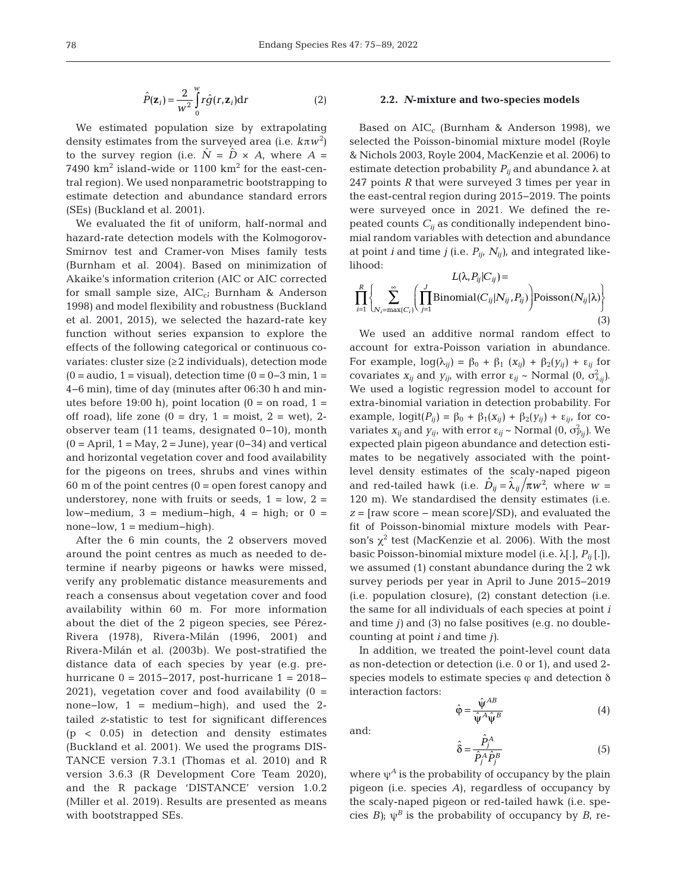$$
\hat{P}(\mathbf{z}_i) = \frac{2}{w^2} \int_0^w r \hat{g}(r, \mathbf{z}_i) dr
$$
 (2)

We estimated population size by extrapolating density estimates from the surveyed area (i.e. *k*π*w*<sup>2</sup> ) to the survey region (i.e.  $\hat{N} = \hat{D} \times A$ , where  $A =$ 7490  $\rm km^2$  island-wide or 1100  $\rm km^2$  for the east-central region). We used nonparametric bootstrapping to estimate detection and abundance standard errors (SEs) (Buckland et al. 2001).

We evaluated the fit of uniform, half-normal and hazard-rate detection models with the Kolmogorov-Smirnov test and Cramer-von Mises family tests (Burnham et al. 2004). Based on minimization of Akaike's information criterion (AIC or AIC corrected for small sample size,  $AIC_{ci}$  Burnham & Anderson 1998) and model flexibility and robustness (Buckland et al. 2001, 2015), we selected the hazard-rate key function without series expansion to explore the effects of the following categorical or continuous covariates: cluster size (≥2 individuals), detection mode  $(0 = 0 - 3)$  min, 1 = visual), detection time  $(0 = 0 - 3)$  min, 1 = 4−6 min), time of day (minutes after 06:30 h and minutes before 19:00 h), point location ( $0 =$  on road,  $1 =$ off road), life zone  $(0 = \text{dry}, 1 = \text{moist}, 2 = \text{wet})$ , 2observer team (11 teams, designated 0−10), month  $(0 = April, 1 = May, 2 = June)$ , year  $(0-34)$  and vertical and horizontal vegetation cover and food availability for the pigeons on trees, shrubs and vines within  $60$  m of the point centres  $(0 =$  open forest canopy and understorey, none with fruits or seeds,  $1 = \text{low}, 2 =$ low-medium,  $3 = \text{medium} - \text{high}$ ,  $4 = \text{high}$ ; or  $0 =$ none–low,  $1 = \text{medium} - \text{high}$ ).

After the 6 min counts, the 2 observers moved around the point centres as much as needed to determine if nearby pigeons or hawks were missed, verify any problematic distance measurements and reach a consensus about vegetation cover and food availability within 60 m. For more information about the diet of the 2 pigeon species, see Pérez-Rivera (1978), Rivera-Milán (1996, 2001) and Rivera-Milán et al. (2003b). We post-stratified the distance data of each species by year (e.g. prehurricane 0 = 2015−2017, post-hurricane 1 = 2018− 2021), vegetation cover and food availability  $(0 =$ none−low, 1 = medium−high), and used the 2 tailed *z*-statistic to test for significant differences (p < 0.05) in detection and density estimates (Buckland et al. 2001). We used the programs DIS-TANCE version 7.3.1 (Thomas et al. 2010) and R version 3.6.3 (R Development Core Team 2020), and the R package 'DISTANCE' version 1.0.2 (Miller et al. 2019). Results are presented as means with bootstrapped SEs.

## **2.2.** *N***-mixture and two-species models**

Based on  $AIC_c$  (Burnham & Anderson 1998), we selected the Poisson-binomial mixture model (Royle & Nichols 2003, Royle 2004, MacKenzie et al. 2006) to estimate detection probability  $P_{ij}$  and abundance  $\lambda$  at 247 points *R* that were surveyed 3 times per year in the east-central region during 2015−2019. The points were surveyed once in 2021. We defined the repeated counts  $C_{ij}$  as conditionally independent binomial random variables with detection and abundance at point *i* and time *j* (i.e.  $P_{ij}$ ,  $N_{ij}$ ), and integrated likelihood:

$$
L(\lambda, P_{ij}|C_{ij}) = \prod_{i=1}^{R} \left\{ \sum_{N_i = \max(C_i)} \left( \prod_{j=1}^{J} \text{Binomial}(C_{ij}|N_{ij}, P_{ij}) \right) \text{Poisson}(N_{ij}|\lambda) \right\}
$$
(3)

We used an additive normal random effect to account for extra-Poisson variation in abundance. For example,  $log(\lambda_{ij}) = \beta_0 + \beta_1 (x_{ij}) + \beta_2(y_{ij}) + \varepsilon_{ij}$  for covariates  $x_{ij}$  and  $y_{ij}$ , with error  $\varepsilon_{ij} \sim \text{Normal}(0, \sigma^2_{\lambda_{ij}})$ . We used a logistic regression model to account for extra-binomial variation in detection probability. For example,  $logit(P_{ij}) = \beta_0 + \beta_1(x_{ij}) + \beta_2(y_{ij}) + \varepsilon_{ij}$ , for covariates  $x_{ij}$  and  $y_{ij}$ , with error  $\varepsilon_{ij}$  ~ Normal (0,  $\sigma_{P_{ij}}^2$ ). We expected plain pigeon abundance and detection estimates to be negatively associated with the pointlevel density estimates of the scaly-naped pigeon and red-tailed hawk (i.e.  $\hat{D}_{ij} = \hat{\lambda}_{ij}/\pi w^2$ , where  $w =$ 120 m). We standardised the density estimates (i.e. *z* = [raw score − mean score]/SD), and evaluated the fit of Poisson-binomial mixture models with Pearson's  $\chi^2$  test (MacKenzie et al. 2006). With the most basic Poisson-binomial mixture model (i.e. λ[.], *Pij* [.]), we assumed (1) constant abundance during the 2 wk survey periods per year in April to June 2015−2019 (i.e. population closure), (2) constant detection (i.e. the same for all individuals of each species at point *i* and time *j)* and (3) no false positives (e.g. no doublecounting at point *i* and time *j)*.

In addition, we treated the point-level count data as non-detection or detection (i.e. 0 or 1), and used 2 species models to estimate species  $\varphi$  and detection  $\delta$ interaction factors:

$$
\hat{\varphi} = \frac{\hat{\psi}^{AB}}{\hat{\psi}^A \hat{\psi}^B}
$$
(4)

and:

$$
\hat{\delta} = \frac{\hat{P}_j^A}{\hat{P}_j^A \hat{P}_j^B}
$$
 (5)

where  $\psi^A$  is the probability of occupancy by the plain pigeon (i.e. species *A*), regardless of occupancy by the scaly-naped pigeon or red-tailed hawk (i.e. species *B*);  $\psi^B$  is the probability of occupancy by *B*, re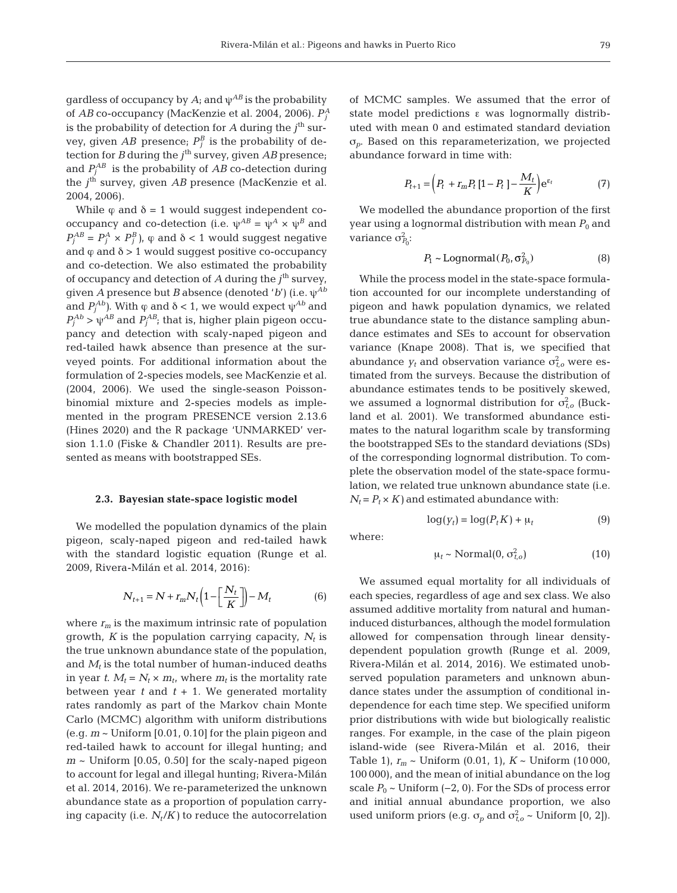gardless of occupancy by *A*; and ψ*AB* is the probability of *AB* co-occupancy (MacKenzie et al. 2004, 2006). *P<sup>A</sup> j* is the probability of detection for  $A$  during the  $j^{\text{th}}$  survey, given  $AB$  presence;  $P_j^B$  is the probability of detection for *B* during the  $j^{\text{th}}$  survey, given *AB* presence; and  $P_j^{AB}$  is the probability of  $AB$  co-detection during the *j*<sup>th</sup> survey, given *AB* presence (MacKenzie et al. 2004, 2006).

While  $\varphi$  and  $\delta = 1$  would suggest independent cooccupancy and co-detection (i.e.  $\psi^{AB} = \psi^A \times \psi^B$  and  $P_j^{AB} = P_j^A \times P_j^B$ ,  $\varphi$  and  $\delta < 1$  would suggest negative and  $\varphi$  and  $\delta$  > 1 would suggest positive co-occupancy and co-detection. We also estimated the probability of occupancy and detection of  $A$  during the  $j<sup>th</sup>$  survey, given *A* presence but *B* absence (denoted '*b*') (i.e. ψ*Ab* and  $P_j^{Ab}$ ). With  $\varphi$  and  $\delta < 1$ , we would expect  $\psi^{Ab}$  and  $P_j^{Ab}$  >  $\psi^{AB}$  and  $P_j^{AB}$ ; that is, higher plain pigeon occupancy and detection with scaly-naped pigeon and red-tailed hawk absence than presence at the surveyed points. For additional information about the formulation of 2-species models, see MacKenzie et al. (2004, 2006). We used the single-season Poissonbinomial mixture and 2-species models as implemented in the program PRESENCE version 2.13.6 (Hines 2020) and the R package 'UNMARKED' version 1.1.0 (Fiske & Chandler 2011). Results are presented as means with bootstrapped SEs.

#### **2.3. Bayesian state-space logistic model**

We modelled the population dynamics of the plain pigeon, scaly-naped pigeon and red-tailed hawk with the standard logistic equation (Runge et al. 2009, Rivera-Milán et al. 2014, 2016):

$$
N_{t+1} = N + r_m N_t \left( 1 - \left[ \frac{N_t}{K} \right] \right) - M_t \tag{6}
$$

where  $r_m$  is the maximum intrinsic rate of population growth,  $K$  is the population carrying capacity,  $N_t$  is the true unknown abundance state of the population, and  $M_t$  is the total number of human-induced deaths in year *t*.  $M_t = N_t \times m_t$ , where  $m_t$  is the mortality rate between year  $t$  and  $t + 1$ . We generated mortality rates randomly as part of the Markov chain Monte Carlo (MCMC) algorithm with uniform distributions (e.g. *m* ~ Uniform [0.01, 0.10] for the plain pigeon and red-tailed hawk to account for illegal hunting; and  $m \sim$  Uniform [0.05, 0.50] for the scaly-naped pigeon to account for legal and illegal hunting; Rivera-Milán et al. 2014, 2016). We re-parameterized the unknown abundance state as a proportion of population carrying capacity (i.e.  $N_t/K$ ) to reduce the autocorrelation of MCMC samples. We assumed that the error of state model predictions ε was lognormally distributed with mean 0 and estimated standard deviation σ*p*. Based on this reparameterization, we projected abundance forward in time with:

$$
P_{t+1} = \left(P_t + r_m P_t \left[1 - P_t\right] - \frac{M_t}{K}\right) e^{\varepsilon_t} \tag{7}
$$

We modelled the abundance proportion of the first year using a lognormal distribution with mean  $P_0$  and variance  $\sigma_{P_0}^2$ :

$$
P_1 \sim \text{Lognormal}(P_0, \sigma_{P_0}^2) \tag{8}
$$

While the process model in the state-space formulation accounted for our incomplete understanding of pigeon and hawk population dynamics, we related true abundance state to the distance sampling abundance estimates and SEs to account for observation variance (Knape 2008). That is, we specified that abundance  $y_t$  and observation variance  $\sigma_{t,o}^2$  were estimated from the surveys. Because the distribution of abundance estimates tends to be positively skewed, we assumed a lognormal distribution for  $\sigma_{t,o}^2$  (Buckland et al. 2001). We transformed abundance estimates to the natural logarithm scale by transforming the bootstrapped SEs to the standard deviations (SDs) of the corresponding lognormal distribution. To complete the observation model of the state-space formulation, we related true unknown abundance state (i.e.  $N_t = P_t \times K$  and estimated abundance with:

$$
\log(y_t) = \log(P_t K) + \mu_t \tag{9}
$$

where:

$$
\mu_t \sim \text{Normal}(0, \sigma_{t,0}^2) \tag{10}
$$

We assumed equal mortality for all individuals of each species, regardless of age and sex class. We also assumed additive mortality from natural and humaninduced disturbances, although the model formulation allowed for compensation through linear densitydependent population growth (Runge et al. 2009, Rivera-Milán et al. 2014, 2016). We estimated unobserved population parameters and unknown abundance states under the assumption of conditional independence for each time step. We specified uniform prior distributions with wide but biologically realistic ranges. For example, in the case of the plain pigeon island-wide (see Rivera-Milán et al. 2016, their Table 1), *rm* ~ Uniform (0.01, 1), *K* ~ Uniform (10 000, 100 000), and the mean of initial abundance on the log scale  $P_0$  ~ Uniform (−2, 0). For the SDs of process error and initial annual abundance proportion, we also used uniform priors (e.g.  $\sigma_p$  and  $\sigma_{t,o}^2$  ~ Uniform [0, 2]).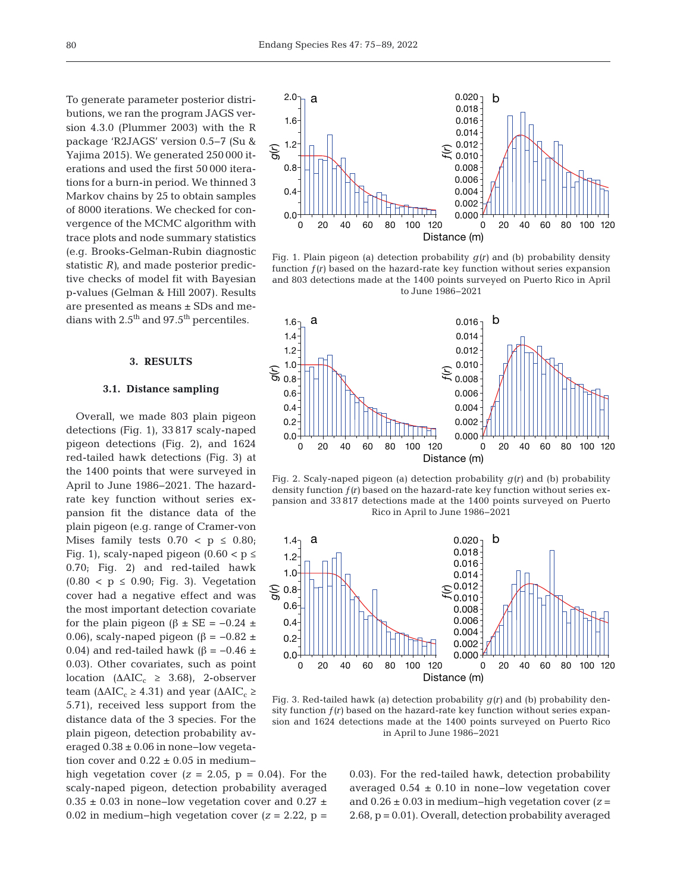To generate parameter posterior distributions, we ran the program JAGS version 4.3.0 (Plummer 2003) with the R package 'R2JAGS' version 0.5−7 (Su & Yajima 2015). We generated 250 000 iterations and used the first 50 000 iterations for a burn-in period. We thinned 3 Markov chains by 25 to obtain samples of 8000 iterations. We checked for convergence of the MCMC algorithm with trace plots and node summary statistics (e.g. Brooks-Gelman-Rubin diagnostic statistic *R)*, and made posterior predictive checks of model fit with Bayesian p-values (Gelman & Hill 2007). Results are presented as means ± SDs and medians with 2.5<sup>th</sup> and 97.5<sup>th</sup> percentiles.

# **3. RESULTS**

## **3.1. Distance sampling**

Overall, we made 803 plain pigeon detections (Fig. 1), 33 817 scaly-naped pigeon detections (Fig. 2), and 1624 red-tailed hawk detections (Fig. 3) at the 1400 points that were surveyed in April to June 1986−2021. The hazardrate key function without series expansion fit the distance data of the plain pigeon (e.g. range of Cramer-von Mises family tests  $0.70 < p \leq 0.80$ ; Fig. 1), scaly-naped pigeon (0.60 <  $p \le$ 0.70; Fig. 2) and red-tailed hawk  $(0.80 < p \le 0.90$ ; Fig. 3). Vegetation cover had a negative effect and was the most important detection covariate for the plain pigeon ( $\beta \pm SE = -0.24 \pm$ 0.06), scaly-naped pigeon ( $\beta = -0.82 \pm$ 0.04) and red-tailed hawk ( $\beta$  = -0.46 ± 0.03). Other covariates, such as point location ( $\triangle AIC_c \geq 3.68$ ), 2-observer team ( $ΔAIC<sub>c</sub> ≥ 4.31$ ) and year ( $ΔAIC<sub>c</sub> ≥$ 5.71), received less support from the distance data of the 3 species. For the plain pigeon, detection probability averaged 0.38 ± 0.06 in none−low vegetation cover and  $0.22 \pm 0.05$  in medium-

high vegetation cover  $(z = 2.05, p = 0.04)$ . For the scaly-naped pigeon, detection probability averaged 0.35 ± 0.03 in none−low vegetation cover and 0.27 ± 0.02 in medium−high vegetation cover (*z* = 2.22, p =



Fig. 1. Plain pigeon (a) detection probability  $g(r)$  and (b) probability density function  $f(r)$  based on the hazard-rate key function without series expansion and 803 detections made at the 1400 points surveyed on Puerto Rico in April to June 1986−2021



Fig. 2. Scaly-naped pigeon (a) detection probability  $g(r)$  and (b) probability density function ƒ*(r)* based on the hazard-rate key function without series expansion and 33 817 detections made at the 1400 points surveyed on Puerto Rico in April to June 1986−2021



Fig. 3. Red-tailed hawk (a) detection probability *g(r)* and (b) probability density function ƒ*(r)* based on the hazard-rate key function without series expansion and 1624 detections made at the 1400 points surveyed on Puerto Rico in April to June 1986−2021

0.03). For the red-tailed hawk, detection probability averaged 0.54 ± 0.10 in none−low vegetation cover and 0.26 ± 0.03 in medium−high vegetation cover (*z* = 2.68, p = 0.01). Overall, detection probability averaged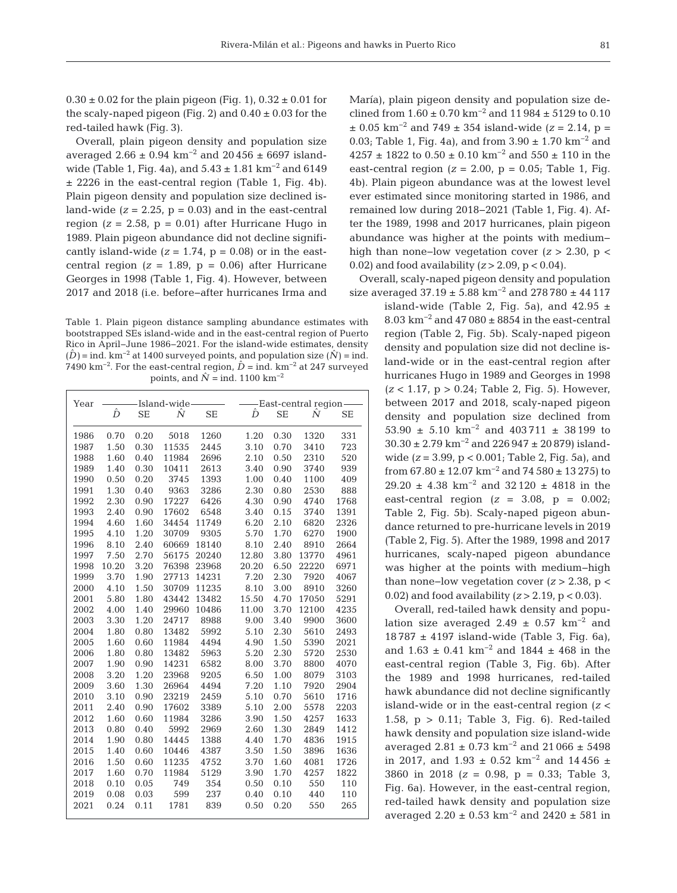$0.30 \pm 0.02$  for the plain pigeon (Fig. 1),  $0.32 \pm 0.01$  for the scaly-naped pigeon (Fig. 2) and  $0.40 \pm 0.03$  for the red-tailed hawk (Fig. 3).

Overall, plain pigeon density and population size averaged 2.66 ± 0.94 km<sup>-2</sup> and 20456 ± 6697 islandwide (Table 1, Fig. 4a), and  $5.43 \pm 1.81$  km<sup>-2</sup> and  $6149$ ± 2226 in the east-central region (Table 1, Fig. 4b). Plain pigeon density and population size declined island-wide  $(z = 2.25, p = 0.03)$  and in the east-central region  $(z = 2.58, p = 0.01)$  after Hurricane Hugo in 1989. Plain pigeon abundance did not decline significantly island-wide  $(z = 1.74, p = 0.08)$  or in the eastcentral region  $(z = 1.89, p = 0.06)$  after Hurricane Georges in 1998 (Table 1, Fig. 4). However, between 2017 and 2018 (i.e. before−after hurricanes Irma and

Table 1. Plain pigeon distance sampling abundance estimates with bootstrapped SEs island-wide and in the east-central region of Puerto Rico in April−June 1986−2021. For the island-wide estimates, density  $(\hat{D})$  = ind. km<sup>-2</sup> at 1400 surveyed points, and population size  $(\hat{N})$  = ind. 7490 km<sup>-2</sup>. For the east-central region,  $\hat{D}$  = ind. km<sup>-2</sup> at 247 surveyed points, and  $\hat{N}$  = ind. 1100 km<sup>-2</sup>

| Year | -Island-wide- |           |       | -East-central region- |       |           |       |           |
|------|---------------|-----------|-------|-----------------------|-------|-----------|-------|-----------|
|      | Ď             | <b>SE</b> | Ñ     | <b>SE</b>             | Ď     | <b>SE</b> | Ñ     | <b>SE</b> |
|      |               |           |       |                       |       |           |       |           |
| 1986 | 0.70          | 0.20      | 5018  | 1260                  | 1.20  | 0.30      | 1320  | 331       |
| 1987 | 1.50          | 0.30      | 11535 | 2445                  | 3.10  | 0.70      | 3410  | 723       |
| 1988 | 1.60          | 0.40      | 11984 | 2696                  | 2.10  | 0.50      | 2310  | 520       |
| 1989 | 1.40          | 0.30      | 10411 | 2613                  | 3.40  | 0.90      | 3740  | 939       |
| 1990 | 0.50          | 0.20      | 3745  | 1393                  | 1.00  | 0.40      | 1100  | 409       |
| 1991 | 1.30          | 0.40      | 9363  | 3286                  | 2.30  | 0.80      | 2530  | 888       |
| 1992 | 2.30          | 0.90      | 17227 | 6426                  | 4.30  | 0.90      | 4740  | 1768      |
| 1993 | 2.40          | 0.90      | 17602 | 6548                  | 3.40  | 0.15      | 3740  | 1391      |
| 1994 | 4.60          | 1.60      | 34454 | 11749                 | 6.20  | 2.10      | 6820  | 2326      |
| 1995 | 4.10          | 1.20      | 30709 | 9305                  | 5.70  | 1.70      | 6270  | 1900      |
| 1996 | 8.10          | 2.40      | 60669 | 18140                 | 8.10  | 2.40      | 8910  | 2664      |
| 1997 | 7.50          | 2.70      | 56175 | 20240                 | 12.80 | 3.80      | 13770 | 4961      |
| 1998 | 10.20         | 3.20      | 76398 | 23968                 | 20.20 | 6.50      | 22220 | 6971      |
| 1999 | 3.70          | 1.90      | 27713 | 14231                 | 7.20  | 2.30      | 7920  | 4067      |
| 2000 | 4.10          | 1.50      | 30709 | 11235                 | 8.10  | 3.00      | 8910  | 3260      |
| 2001 | 5.80          | 1.80      | 43442 | 13482                 | 15.50 | 4.70      | 17050 | 5291      |
| 2002 | 4.00          | 1.40      | 29960 | 10486                 | 11.00 | 3.70      | 12100 | 4235      |
| 2003 | 3.30          | 1.20      | 24717 | 8988                  | 9.00  | 3.40      | 9900  | 3600      |
| 2004 | 1.80          | 0.80      | 13482 | 5992                  | 5.10  | 2.30      | 5610  | 2493      |
| 2005 | 1.60          | 0.60      | 11984 | 4494                  | 4.90  | 1.50      | 5390  | 2021      |
| 2006 | 1.80          | 0.80      | 13482 | 5963                  | 5.20  | 2.30      | 5720  | 2530      |
| 2007 | 1.90          | 0.90      | 14231 | 6582                  | 8.00  | 3.70      | 8800  | 4070      |
| 2008 | 3.20          | 1.20      | 23968 | 9205                  | 6.50  | 1.00      | 8079  | 3103      |
| 2009 | 3.60          | 1.30      | 26964 | 4494                  | 7.20  | 1.10      | 7920  | 2904      |
| 2010 | 3.10          | 0.90      | 23219 | 2459                  | 5.10  | 0.70      | 5610  | 1716      |
| 2011 | 2.40          | 0.90      | 17602 | 3389                  | 5.10  | 2.00      | 5578  | 2203      |
| 2012 | 1.60          | 0.60      | 11984 | 3286                  | 3.90  | 1.50      | 4257  | 1633      |
| 2013 | 0.80          | 0.40      | 5992  | 2969                  | 2.60  | 1.30      | 2849  | 1412      |
| 2014 | 1.90          | 0.80      | 14445 | 1388                  | 4.40  | 1.70      | 4836  | 1915      |
| 2015 | 1.40          | 0.60      | 10446 | 4387                  | 3.50  | 1.50      | 3896  | 1636      |
| 2016 | 1.50          | 0.60      | 11235 | 4752                  | 3.70  | 1.60      | 4081  | 1726      |
| 2017 | 1.60          | 0.70      | 11984 | 5129                  | 3.90  | 1.70      | 4257  | 1822      |
| 2018 | 0.10          | 0.05      | 749   | 354                   | 0.50  | 0.10      | 550   | 110       |
| 2019 | 0.08          | 0.03      | 599   | 237                   | 0.40  | 0.10      | 440   | 110       |
| 2021 | 0.24          | 0.11      | 1781  | 839                   | 0.50  | 0.20      | 550   | 265       |
|      |               |           |       |                       |       |           |       |           |

María), plain pigeon density and population size declined from  $1.60 \pm 0.70$  km<sup>-2</sup> and  $11\,984 \pm 5129$  to 0.10 ± 0.05 km−2 and 749 ± 354 island-wide (*z* = 2.14, p = 0.03; Table 1, Fig. 4a), and from  $3.90 \pm 1.70$  km<sup>-2</sup> and 4257 ± 1822 to  $0.50 \pm 0.10$  km<sup>-2</sup> and  $550 \pm 110$  in the east-central region  $(z = 2.00, p = 0.05;$  Table 1, Fig. 4b). Plain pigeon abundance was at the lowest level ever estimated since monitoring started in 1986, and remained low during 2018−2021 (Table 1, Fig. 4). After the 1989, 1998 and 2017 hurricanes, plain pigeon abundance was higher at the points with medium− high than none−low vegetation cover (*z* > 2.30, p < 0.02) and food availability (*z* > 2.09, p < 0.04).

Overall, scaly-naped pigeon density and population size averaged 37.19 ± 5.88 km−2 and 278 780 ± 44 117

island-wide (Table 2, Fig. 5a), and  $42.95 \pm$ 8.03 km−2 and 47 080 ± 8854 in the east-central region (Table 2, Fig. 5b). Scaly-naped pigeon density and population size did not decline island-wide or in the east-central region after hurricanes Hugo in 1989 and Georges in 1998 (*z* < 1.17, p > 0.24; Table 2, Fig. 5). However, between 2017 and 2018, scaly-naped pigeon density and population size declined from 53.90 ± 5.10 km−2 and 403 711 ± 38 199 to 30.30 ± 2.79 km−2 and 226 947 ± 20 879) islandwide (*z* = 3.99, p < 0.001; Table 2, Fig. 5a), and from  $67.80 \pm 12.07$  km<sup>-2</sup> and  $74\,580 \pm 13\,275$ ) to 29.20 ± 4.38 km−2 and 32 120 ± 4818 in the east-central region  $(z = 3.08, p = 0.002)$ ; Table 2, Fig. 5b). Scaly-naped pigeon abundance returned to pre-hurricane levels in 2019 (Table 2, Fig. 5). After the 1989, 1998 and 2017 hurricanes, scaly-naped pigeon abundance was higher at the points with medium−high than none−low vegetation cover (*z* > 2.38, p < 0.02) and food availability (*z* > 2.19, p < 0.03).

Overall, red-tailed hawk density and population size averaged 2.49  $\pm$  0.57 km<sup>-2</sup> and 18 787 ± 4197 island-wide (Table 3, Fig. 6a), and  $1.63 \pm 0.41$  km<sup>-2</sup> and  $1844 \pm 468$  in the east-central region (Table 3, Fig. 6b). After the 1989 and 1998 hurricanes, red-tailed hawk abundance did not decline significantly island-wide or in the east-central region (*z* < 1.58, p > 0.11; Table 3, Fig. 6). Red-tailed hawk density and population size island-wide averaged 2.81 ± 0.73  $km^{-2}$  and 21 066 ± 5498 in 2017, and 1.93 ± 0.52 km<sup>-2</sup> and 14 456 ± 3860 in 2018 (*z* = 0.98, p = 0.33; Table 3, Fig. 6a). However, in the east-central region, red-tailed hawk density and population size averaged 2.20 ± 0.53  $km^{-2}$  and 2420 ± 581 in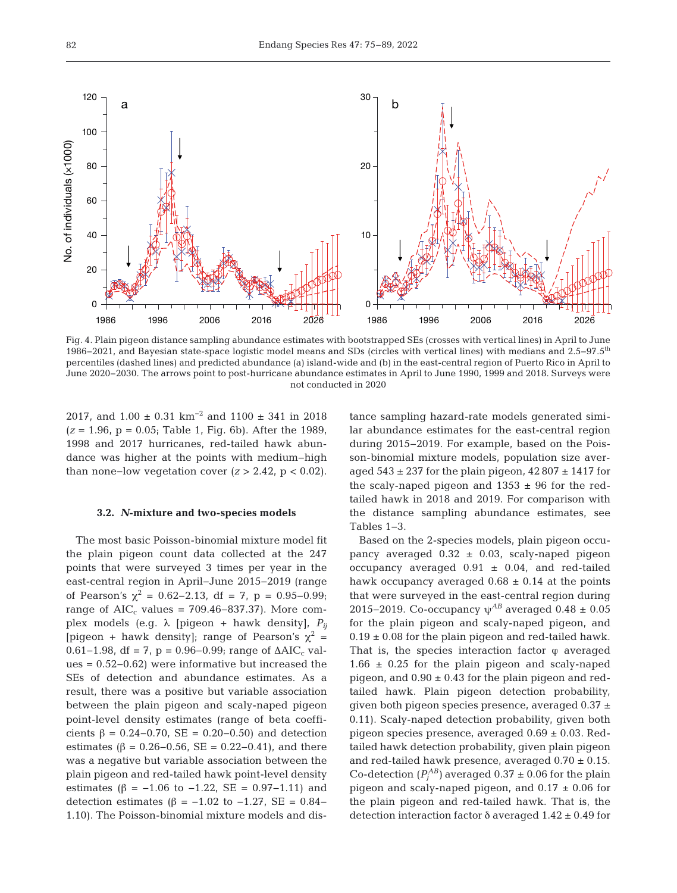

Fig. 4. Plain pigeon distance sampling abundance estimates with bootstrapped SEs (crosses with vertical lines) in April to June 1986−2021, and Bayesian state-space logistic model means and SDs (circles with vertical lines) with medians and 2.5−97.5th percentiles (dashed lines) and predicted abundance (a) island-wide and (b) in the east-central region of Puerto Rico in April to June 2020−2030. The arrows point to post-hurricane abundance estimates in April to June 1990, 1999 and 2018. Surveys were not conducted in 2020

2017, and  $1.00 \pm 0.31$  km<sup>-2</sup> and  $1100 \pm 341$  in 2018 (*z* = 1.96, p = 0.05; Table 1, Fig. 6b). After the 1989, 1998 and 2017 hurricanes, red-tailed hawk abundance was higher at the points with medium−high than none-low vegetation cover  $(z > 2.42, p < 0.02)$ .

## **3.2.** *N***-mixture and two-species models**

The most basic Poisson-binomial mixture model fit the plain pigeon count data collected at the 247 points that were surveyed 3 times per year in the east-central region in April−June 2015−2019 (range of Pearson's  $\chi^2 = 0.62 - 2.13$ , df = 7, p = 0.95–0.99; range of  $AIC_c$  values = 709.46–837.37). More complex models (e.g.  $\lambda$  [pigeon + hawk density],  $P_{ij}$ [pigeon + hawk density]; range of Pearson's  $\chi^2$  = 0.61−1.98, df = 7, p = 0.96−0.99; range of  $\Delta AIC_c$  values = 0.52−0.62) were informative but increased the SEs of detection and abundance estimates. As a result, there was a positive but variable association between the plain pigeon and scaly-naped pigeon point-level density estimates (range of beta coefficients β = 0.24−0.70, SE = 0.20−0.50) and detection estimates ( $β = 0.26 - 0.56$ , SE = 0.22-0.41), and there was a negative but variable association between the plain pigeon and red-tailed hawk point-level density estimates (β =  $-1.06$  to  $-1.22$ , SE = 0.97 $-1.11$ ) and detection estimates (β =  $-1.02$  to  $-1.27$ , SE = 0.84− 1.10). The Poisson-binomial mixture models and distance sampling hazard-rate models generated similar abundance estimates for the east-central region during 2015−2019. For example, based on the Poisson-binomial mixture models, population size averaged  $543 \pm 237$  for the plain pigeon,  $42807 \pm 1417$  for the scaly-naped pigeon and  $1353 \pm 96$  for the redtailed hawk in 2018 and 2019. For comparison with the distance sampling abundance estimates, see Tables 1−3.

Based on the 2-species models, plain pigeon occupancy averaged  $0.32 \pm 0.03$ , scaly-naped pigeon occupancy averaged  $0.91 \pm 0.04$ , and red-tailed hawk occupancy averaged  $0.68 \pm 0.14$  at the points that were surveyed in the east-central region during 2015−2019. Co-occupancy ψ*AB* averaged 0.48 ± 0.05 for the plain pigeon and scaly-naped pigeon, and  $0.19 \pm 0.08$  for the plain pigeon and red-tailed hawk. That is, the species interaction factor  $\varphi$  averaged  $1.66 \pm 0.25$  for the plain pigeon and scaly-naped pigeon, and  $0.90 \pm 0.43$  for the plain pigeon and redtailed hawk. Plain pigeon detection probability, given both pigeon species presence, averaged  $0.37 \pm 1$ 0.11). Scaly-naped detection probability, given both pigeon species presence, averaged  $0.69 \pm 0.03$ . Redtailed hawk detection probability, given plain pigeon and red-tailed hawk presence, averaged  $0.70 \pm 0.15$ . Co-detection  $(P_j^{AB})$  averaged 0.37  $\pm$  0.06 for the plain pigeon and scaly-naped pigeon, and  $0.17 \pm 0.06$  for the plain pigeon and red-tailed hawk. That is, the detection interaction factor δ averaged 1.42 ± 0.49 for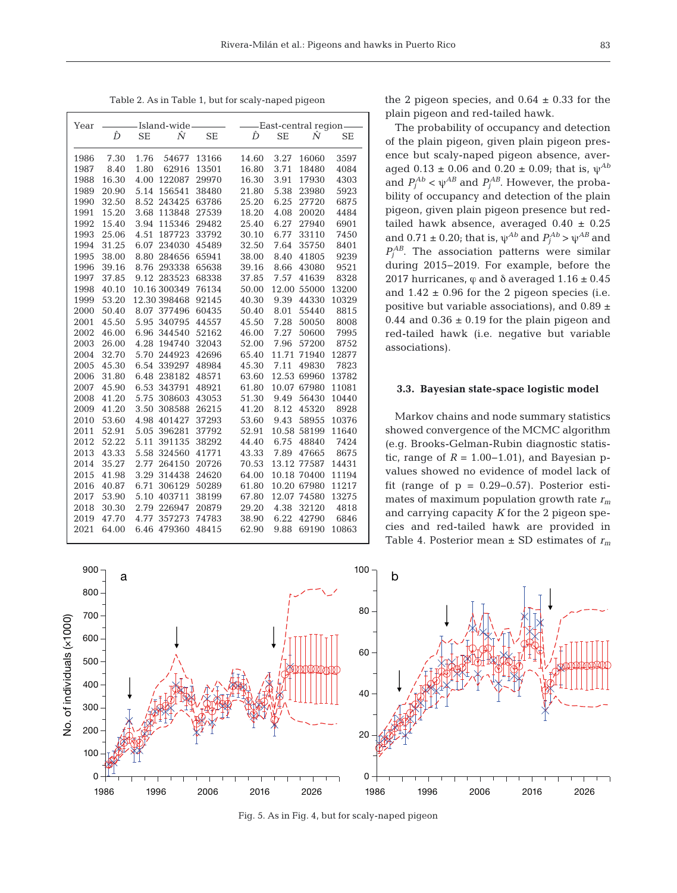Table 2. As in Table 1, but for scaly-naped pigeon

| Year | -Island-wide- |                |           |       | -East-central region- |             |       |  |  |
|------|---------------|----------------|-----------|-------|-----------------------|-------------|-------|--|--|
|      | Ď             | Ñ<br>SE        | <b>SE</b> | Ď     | <b>SE</b>             | Ñ           | SE    |  |  |
| 1986 | 7.30          | 1.76<br>54677  | 13166     | 14.60 | 3.27                  | 16060       | 3597  |  |  |
| 1987 | 8.40          | 1.80<br>62916  | 13501     | 16.80 | 3.71                  | 18480       | 4084  |  |  |
| 1988 | 16.30         | 122087<br>4.00 | 29970     | 16.30 | 3.91                  | 17930       | 4303  |  |  |
| 1989 | 20.90         | 156541<br>5.14 | 38480     | 21.80 | 5.38                  | 23980       | 5923  |  |  |
| 1990 | 32.50         | 8.52<br>243425 | 63786     | 25.20 | 6.25                  | 27720       | 6875  |  |  |
| 1991 | 15.20         | 113848<br>3.68 | 27539     | 18.20 | 4.08                  | 20020       | 4484  |  |  |
| 1992 | 15.40         | 3.94<br>115346 | 29482     | 25.40 | 6.27                  | 27940       | 6901  |  |  |
| 1993 | 25.06         | 4.51<br>187723 | 33792     | 30.10 | 6.77                  | 33110       | 7450  |  |  |
| 1994 | 31.25         | 6.07<br>234030 | 45489     | 32.50 | 7.64                  | 35750       | 8401  |  |  |
| 1995 | 38.00         | 8.80<br>284656 | 65941     | 38.00 | 8.40                  | 41805       | 9239  |  |  |
| 1996 | 39.16         | 293338<br>8.76 | 65638     | 39.16 | 8.66                  | 43080       | 9521  |  |  |
| 1997 | 37.85         | 9.12 283523    | 68338     | 37.85 | 7.57                  | 41639       | 8328  |  |  |
| 1998 | 40.10         | 10.16 300349   | 76134     | 50.00 | 12.00                 | 55000       | 13200 |  |  |
| 1999 | 53.20         | 12.30 398468   | 92145     | 40.30 | 9.39                  | 44330       | 10329 |  |  |
| 2000 | 50.40         | 377496<br>8.07 | 60435     | 50.40 | 8.01                  | 55440       | 8815  |  |  |
| 2001 | 45.50         | 340795<br>5.95 | 44557     | 45.50 | 7.28                  | 50050       | 8008  |  |  |
| 2002 | 46.00         | 6.96<br>344540 | 52162     | 46.00 | 7.27                  | 50600       | 7995  |  |  |
| 2003 | 26.00         | 4.28<br>194740 | 32043     | 52.00 | 7.96                  | 57200       | 8752  |  |  |
| 2004 | 32.70         | 5.70<br>244923 | 42696     | 65.40 | 11.71                 | 71940       | 12877 |  |  |
| 2005 | 45.30         | 339297<br>6.54 | 48984     | 45.30 | 7.11                  | 49830       | 7823  |  |  |
| 2006 | 31.80         | 238182<br>6.48 | 48571     | 63.60 | 12.53                 | 69960       | 13782 |  |  |
| 2007 | 45.90         | 6.53<br>343791 | 48921     | 61.80 | 10.07                 | 67980       | 11081 |  |  |
| 2008 | 41.20         | 5.75<br>308603 | 43053     | 51.30 | 9.49                  | 56430       | 10440 |  |  |
| 2009 | 41.20         | 3.50<br>308588 | 26215     | 41.20 | 8.12                  | 45320       | 8928  |  |  |
| 2010 | 53.60         | 4.98<br>401427 | 37293     | 53.60 | 9.43                  | 58955       | 10376 |  |  |
| 2011 | 52.91         | 396281<br>5.05 | 37792     | 52.91 | 10.58                 | 58199       | 11640 |  |  |
| 2012 | 52.22         | 391135<br>5.11 | 38292     | 44.40 | 6.75                  | 48840       | 7424  |  |  |
| 2013 | 43.33         | 324560<br>5.58 | 41771     | 43.33 | 7.89                  | 47665       | 8675  |  |  |
| 2014 | 35.27         | 2.77<br>264150 | 20726     | 70.53 | 13.12                 | 77587       | 14431 |  |  |
| 2015 | 41.98         | 3.29<br>314438 | 24620     | 64.00 |                       | 10.18 70400 | 11194 |  |  |
| 2016 | 40.87         | 6.71<br>306129 | 50289     | 61.80 | 10.20                 | 67980       | 11217 |  |  |
| 2017 | 53.90         | 403711<br>5.10 | 38199     | 67.80 | 12.07                 | 74580       | 13275 |  |  |
| 2018 | 30.30         | 226947<br>2.79 | 20879     | 29.20 | 4.38                  | 32120       | 4818  |  |  |
| 2019 | 47.70         | 357273<br>4.77 | 74783     | 38.90 | 6.22                  | 42790       | 6846  |  |  |
| 2021 | 64.00         | 6.46 479360    | 48415     | 62.90 | 9.88                  | 69190       | 10863 |  |  |

the 2 pigeon species, and  $0.64 \pm 0.33$  for the plain pigeon and red-tailed hawk.

The probability of occupancy and detection of the plain pigeon, given plain pigeon presence but scaly-naped pigeon absence, averaged  $0.13 \pm 0.06$  and  $0.20 \pm 0.09$ ; that is,  $\psi^{Ab}$ and  $P_j^{Ab} < \psi^{AB}$  and  $P_j^{AB}$ . However, the probability of occupancy and detection of the plain pigeon, given plain pigeon presence but redtailed hawk absence, averaged  $0.40 \pm 0.25$ and  $0.71 \pm 0.20$ ; that is,  $\psi^{Ab}$  and  $P_j^{Ab} > \psi^{AB}$  and  $P_j^{AB}$ . The association patterns were similar during 2015−2019. For example, before the 2017 hurricanes,  $\varphi$  and  $\delta$  averaged 1.16  $\pm$  0.45 and  $1.42 \pm 0.96$  for the 2 pigeon species (i.e. positive but variable associations), and  $0.89 \pm$ 0.44 and  $0.36 \pm 0.19$  for the plain pigeon and red-tailed hawk (i.e. negative but variable associations).

### **3.3. Bayesian state-space logistic model**

Markov chains and node summary statistics showed convergence of the MCMC algorithm (e.g. Brooks-Gelman-Rubin diagnostic statistic, range of  $R = 1.00-1.01$ , and Bayesian pvalues showed no evidence of model lack of fit (range of  $p = 0.29-0.57$ ). Posterior estimates of maximum population growth rate *rm* and carrying capacity *K* for the 2 pigeon species and red-tailed hawk are provided in Table 4. Posterior mean  $\pm$  SD estimates of  $r_m$ 



Fig. 5. As in Fig. 4, but for scaly-naped pigeon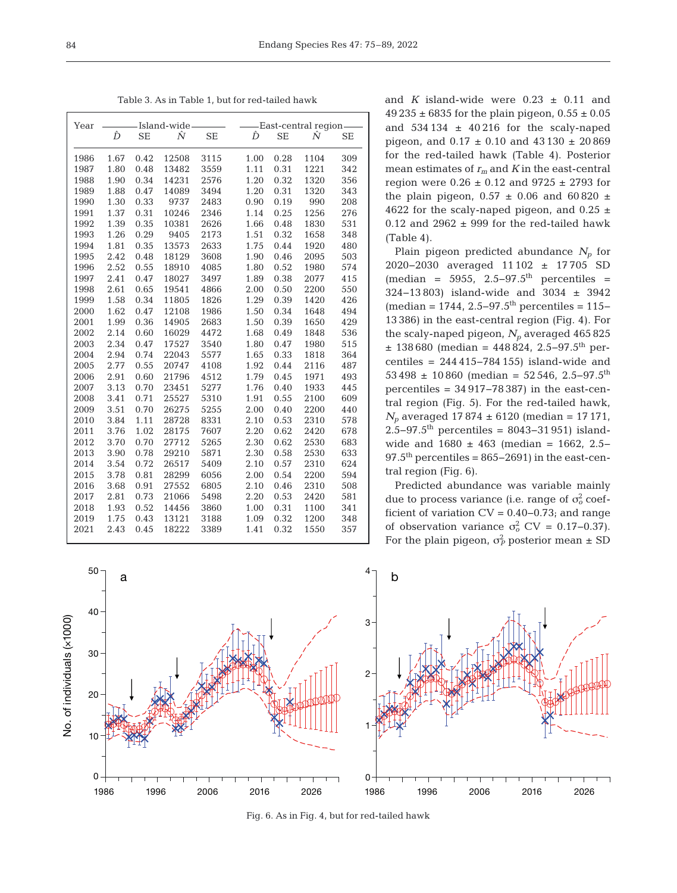Table 3. As in Table 1, but for red-tailed hawk

| Year | Island-wide |           |       | -East-central region- |  |      |           |      |           |
|------|-------------|-----------|-------|-----------------------|--|------|-----------|------|-----------|
|      | Ď           | <b>SE</b> | Ñ     | <b>SE</b>             |  | Ď    | <b>SE</b> | Ñ    | <b>SE</b> |
| 1986 | 1.67        | 0.42      | 12508 | 3115                  |  | 1.00 | 0.28      | 1104 | 309       |
| 1987 | 1.80        | 0.48      | 13482 | 3559                  |  | 1.11 | 0.31      | 1221 | 342       |
| 1988 | 1.90        | 0.34      | 14231 | 2576                  |  | 1.20 | 0.32      | 1320 | 356       |
| 1989 | 1.88        | 0.47      | 14089 | 3494                  |  | 1.20 | 0.31      | 1320 | 343       |
| 1990 | 1.30        | 0.33      | 9737  | 2483                  |  | 0.90 | 0.19      | 990  | 208       |
| 1991 | 1.37        | 0.31      | 10246 | 2346                  |  | 1.14 | 0.25      | 1256 | 276       |
| 1992 | 1.39        | 0.35      | 10381 | 2626                  |  | 1.66 | 0.48      | 1830 | 531       |
| 1993 | 1.26        | 0.29      | 9405  | 2173                  |  | 1.51 | 0.32      | 1658 | 348       |
| 1994 | 1.81        | 0.35      | 13573 | 2633                  |  | 1.75 | 0.44      | 1920 | 480       |
| 1995 | 2.42        | 0.48      | 18129 | 3608                  |  | 1.90 | 0.46      | 2095 | 503       |
| 1996 | 2.52        | 0.55      | 18910 | 4085                  |  | 1.80 | 0.52      | 1980 | 574       |
| 1997 | 2.41        | 0.47      | 18027 | 3497                  |  | 1.89 | 0.38      | 2077 | 415       |
| 1998 | 2.61        | 0.65      | 19541 | 4866                  |  | 2.00 | 0.50      | 2200 | 550       |
| 1999 | 1.58        | 0.34      | 11805 | 1826                  |  | 1.29 | 0.39      | 1420 | 426       |
| 2000 | 1.62        | 0.47      | 12108 | 1986                  |  | 1.50 | 0.34      | 1648 | 494       |
| 2001 | 1.99        | 0.36      | 14905 | 2683                  |  | 1.50 | 0.39      | 1650 | 429       |
| 2002 | 2.14        | 0.60      | 16029 | 4472                  |  | 1.68 | 0.49      | 1848 | 536       |
| 2003 | 2.34        | 0.47      | 17527 | 3540                  |  | 1.80 | 0.47      | 1980 | 515       |
| 2004 | 2.94        | 0.74      | 22043 | 5577                  |  | 1.65 | 0.33      | 1818 | 364       |
| 2005 | 2.77        | 0.55      | 20747 | 4108                  |  | 1.92 | 0.44      | 2116 | 487       |
| 2006 | 2.91        | 0.60      | 21796 | 4512                  |  | 1.79 | 0.45      | 1971 | 493       |
| 2007 | 3.13        | 0.70      | 23451 | 5277                  |  | 1.76 | 0.40      | 1933 | 445       |
| 2008 | 3.41        | 0.71      | 25527 | 5310                  |  | 1.91 | 0.55      | 2100 | 609       |
| 2009 | 3.51        | 0.70      | 26275 | 5255                  |  | 2.00 | 0.40      | 2200 | 440       |
| 2010 | 3.84        | 1.11      | 28728 | 8331                  |  | 2.10 | 0.53      | 2310 | 578       |
| 2011 | 3.76        | 1.02      | 28175 | 7607                  |  | 2.20 | 0.62      | 2420 | 678       |
| 2012 | 3.70        | 0.70      | 27712 | 5265                  |  | 2.30 | 0.62      | 2530 | 683       |
| 2013 | 3.90        | 0.78      | 29210 | 5871                  |  | 2.30 | 0.58      | 2530 | 633       |
| 2014 | 3.54        | 0.72      | 26517 | 5409                  |  | 2.10 | 0.57      | 2310 | 624       |
| 2015 | 3.78        | 0.81      | 28299 | 6056                  |  | 2.00 | 0.54      | 2200 | 594       |
| 2016 | 3.68        | 0.91      | 27552 | 6805                  |  | 2.10 | 0.46      | 2310 | 508       |
| 2017 | 2.81        | 0.73      | 21066 | 5498                  |  | 2.20 | 0.53      | 2420 | 581       |
| 2018 | 1.93        | 0.52      | 14456 | 3860                  |  | 1.00 | 0.31      | 1100 | 341       |
| 2019 | 1.75        | 0.43      | 13121 | 3188                  |  | 1.09 | 0.32      | 1200 | 348       |
| 2021 | 2.43        | 0.45      | 18222 | 3389                  |  | 1.41 | 0.32      | 1550 | 357       |

and *K* island-wide were  $0.23 \pm 0.11$  and  $49\,235 \pm 6835$  for the plain pigeon,  $0.55 \pm 0.05$ and  $534134 \pm 40216$  for the scaly-naped pigeon, and  $0.17 \pm 0.10$  and  $43130 \pm 20869$ for the red-tailed hawk (Table 4). Posterior mean estimates of  $r_m$  and  $K$  in the east-central region were 0.26 ± 0.12 and 9725 ± 2793 for the plain pigeon,  $0.57 \pm 0.06$  and  $60\,820 \pm 0.06$ 4622 for the scaly-naped pigeon, and  $0.25 \pm$ 0.12 and 2962  $\pm$  999 for the red-tailed hawk (Table 4).

Plain pigeon predicted abundance  $N_p$  for 2020−2030 averaged 11 102 ± 17 705 SD  $(median = 5955, 2.5-97.5<sup>th</sup> percentiles =$ 324−13 803) island-wide and 3034 ± 3942 (median = 1744, 2.5–97.5<sup>th</sup> percentiles = 115– 13 386) in the east-central region (Fig. 4). For the scaly-naped pigeon,  $N_p$  averaged 465 825  $± 138680$  (median = 448824, 2.5–97.5<sup>th</sup> percentiles = 244 415−784 155) island-wide and  $53\,498 \pm 10\,860$  (median = 52 546, 2.5–97.5<sup>th</sup>) percentiles = 34 917−78 387) in the east-central region (Fig. 5). For the red-tailed hawk,  $N_p$  averaged 17 874  $\pm$  6120 (median = 17 171, 2.5−97.5th percentiles = 8043−31 951) islandwide and 1680 ± 463 (median = 1662, 2.5−  $97.5<sup>th</sup>$  percentiles = 865–2691) in the east-central region (Fig. 6).

Predicted abundance was variable mainly due to process variance (i.e. range of  $\sigma_o^2$  coefficient of variation  $CV = 0.40 - 0.73$ ; and range of observation variance  $\sigma_o^2$  CV = 0.17–0.37). For the plain pigeon,  $\sigma_P^2$  posterior mean  $\pm$  SD



Fig. 6. As in Fig. 4, but for red-tailed hawk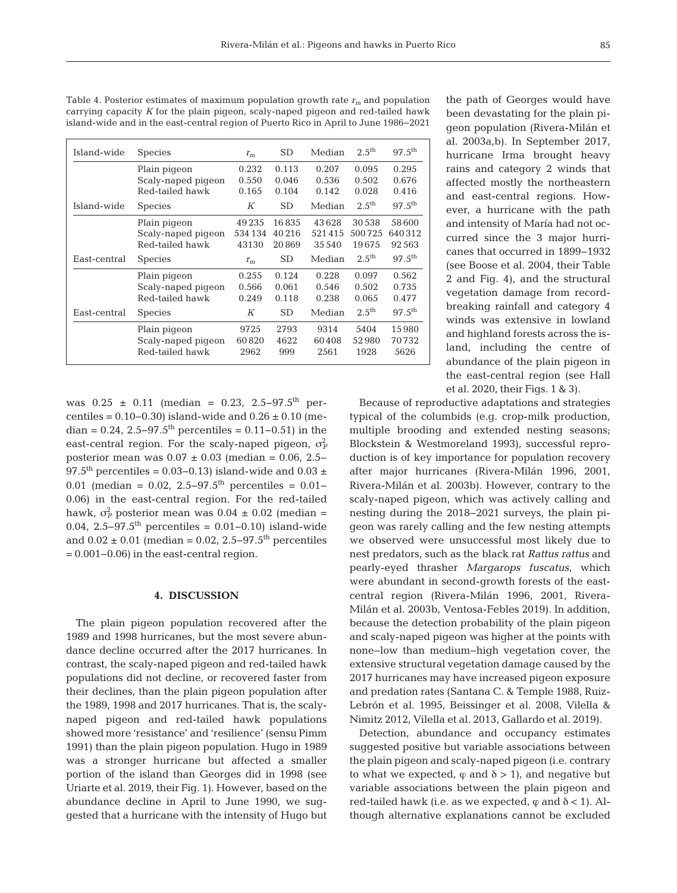| Table 4. Posterior estimates of maximum population growth rate $r_m$ and population  |  |  |
|--------------------------------------------------------------------------------------|--|--|
| carrying capacity K for the plain pigeon, scaly-naped pigeon and red-tailed hawk     |  |  |
| island-wide and in the east-central region of Puerto Rico in April to June 1986–2021 |  |  |

| Island-wide  | <b>Species</b>     | $r_m$   | <b>SD</b> | Median | $2.5^{\text{th}}$ | $97.5^{\rm th}$    |
|--------------|--------------------|---------|-----------|--------|-------------------|--------------------|
|              | Plain pigeon       | 0.232   | 0.113     | 0.207  | 0.095             | 0.295              |
|              | Scaly-naped pigeon | 0.550   | 0.046     | 0.536  | 0.502             | 0.676              |
|              | Red-tailed hawk    | 0.165   | 0.104     | 0.142  | 0.028             | 0.416              |
| Island-wide  | <b>Species</b>     | К       | SD        | Median | $2.5^{\text{th}}$ | $97.5^{th}$        |
|              | Plain pigeon       | 49 2 35 | 16835     | 43628  | 30.538            | 58600              |
|              | Scaly-naped pigeon | 534 134 | 40216     | 521415 | 500725            | 640312             |
|              | Red-tailed hawk    | 43130   | 20869     | 35 540 | 19675             | 92.563             |
| East-central | <b>Species</b>     | $r_m$   | <b>SD</b> | Median | $2.5^{\text{th}}$ | $97.5^{\text{th}}$ |
|              | Plain pigeon       | 0.255   | 0.124     | 0.228  | 0.097             | 0.562              |
|              | Scaly-naped pigeon | 0.566   | 0.061     | 0.546  | 0.502             | 0.735              |
|              | Red-tailed hawk    | 0.249   | 0.118     | 0.238  | 0.065             | 0.477              |
| East-central | <b>Species</b>     | К       | <b>SD</b> | Median | $2.5^{\text{th}}$ | $97.5^{\text{th}}$ |
|              | Plain pigeon       | 9725    | 2793      | 9314   | 5404              | 15980              |
|              | Scaly-naped pigeon | 60820   | 4622      | 60408  | 52980             | 70732              |
|              | Red-tailed hawk    | 2962    | 999       | 2561   | 1928              | 5626               |

was 0.25 ± 0.11 (median = 0.23, 2.5−97.5th per centiles =  $0.10 - 0.30$ ) island-wide and  $0.26 \pm 0.10$  (median =  $0.24$ , 2.5–97.5<sup>th</sup> percentiles =  $0.11-0.51$ ) in the east-central region. For the scaly-naped pigeon,  $\sigma_F^2$ posterior mean was  $0.07 \pm 0.03$  (median = 0.06, 2.5− 97.5<sup>th</sup> percentiles = 0.03–0.13) island-wide and 0.03 ± 0.01 (median = 0.02, 2.5–97.5<sup>th</sup> percentiles = 0.01–  $0.06$ ) in the east-central region. For the red-tailed hawk,  $\sigma_P^2$  posterior mean was  $0.04 \pm 0.02$  (median = 0.04, 2.5–97.5<sup>th</sup> percentiles =  $0.01-0.10$ ) island-wide and  $0.02 \pm 0.01$  (median = 0.02, 2.5–97.5<sup>th</sup> percentiles = 0.001−0.06) in the east-central region.

## **4. DISCUSSION**

The plain pigeon population recovered after the 1989 and 1998 hurricanes, but the most severe abundance decline occurred after the 2017 hurricanes. In contrast, the scaly-naped pigeon and red-tailed hawk populations did not decline, or recovered faster from their declines, than the plain pigeon population after the 1989, 1998 and 2017 hurricanes. That is, the scalynaped pigeon and red-tailed hawk populations showed more 'resistance' and 'resilience' (sensu Pimm 1991) than the plain pigeon population. Hugo in 1989 was a stronger hurricane but affected a smaller portion of the island than Georges did in 1998 (see Uriarte et al. 2019, their Fig. 1). However, based on the abundance decline in April to June 1990, we suggested that a hurricane with the intensity of Hugo but the path of Georges would have been devastating for the plain pigeon population (Rivera-Milán et al. 2003a,b). In September 2017, hurricane Irma brought heavy rains and category 2 winds that affected mostly the northeastern and east-central regions. However, a hurricane with the path and intensity of María had not occurred since the 3 major hurricanes that occurred in 1899−1932 (see Boose et al. 2004, their Table 2 and Fig. 4), and the structural vegetation damage from recordbreaking rainfall and category 4 winds was extensive in lowland and highland forests across the island, including the centre of abundance of the plain pigeon in the east-central region (see Hall et al. 2020, their Figs. 1 & 3).

Because of reproductive adaptations and strategies typical of the columbids (e.g. crop-milk production, multiple brooding and extended nesting seasons; Blockstein & Westmoreland 1993), successful reproduction is of key importance for population recovery after major hurricanes (Rivera-Milán 1996, 2001, Rivera-Milán et al. 2003b). However, contrary to the scaly-naped pigeon, which was actively calling and nesting during the 2018−2021 surveys, the plain pigeon was rarely calling and the few nesting attempts we observed were unsuccessful most likely due to nest predators, such as the black rat *Rattus rattus* and pearly-eyed thrasher *Margarops fuscatus*, which were abundant in second-growth forests of the eastcentral region (Rivera-Milán 1996, 2001, Rivera-Milán et al. 2003b, Ventosa-Febles 2019). In addition, because the detection probability of the plain pigeon and scaly-naped pigeon was higher at the points with none−low than medium−high vegetation cover, the extensive structural vegetation damage caused by the 2017 hurricanes may have increased pigeon exposure and predation rates (Santana C. & Temple 1988, Ruiz-Lebrón et al. 1995, Beissinger et al. 2008, Vilella & Nimitz 2012, Vilella et al. 2013, Gallardo et al. 2019).

Detection, abundance and occupancy estimates suggested positive but variable associations between the plain pigeon and scaly-naped pigeon (i.e. contrary to what we expected,  $\varphi$  and  $\delta > 1$ ), and negative but variable associations between the plain pigeon and red-tailed hawk (i.e. as we expected,  $\varphi$  and  $\delta$  < 1). Although alternative explanations cannot be excluded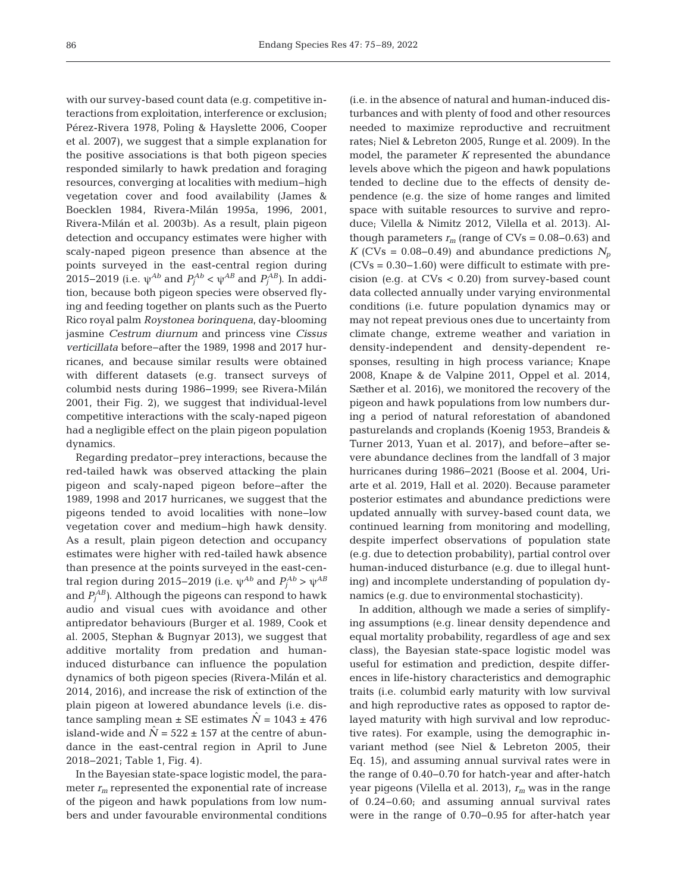with our survey-based count data (e.g. competitive interactions from exploitation, interference or exclusion; Pérez-Rivera 1978, Poling & Hayslette 2006, Cooper et al. 2007), we suggest that a simple explanation for the positive associations is that both pigeon species responded similarly to hawk predation and foraging resources, converging at localities with medium−high vegetation cover and food availability (James & Boecklen 1984, Rivera-Milán 1995a, 1996, 2001, Rivera-Milán et al. 2003b). As a result, plain pigeon detection and occupancy estimates were higher with scaly-naped pigeon presence than absence at the points surveyed in the east-central region during 2015−2019 (i.e.  $ψ^{Ab}$  and  $P_j^{Ab}$  <  $ψ^{AB}$  and  $P_j^{AB}$ ). In addition, because both pigeon species were observed flying and feeding together on plants such as the Puerto Rico royal palm *Roystonea borinquena*, day-blooming jasmine *Cestrum diurnum* and princess vine *Cissus verticillata* before−after the 1989, 1998 and 2017 hurricanes, and because similar results were obtained with different datasets (e.g. transect surveys of columbid nests during 1986−1999; see Rivera-Milán 2001, their Fig. 2), we suggest that individual-level competitive interactions with the scaly-naped pigeon had a negligible effect on the plain pigeon population dynamics.

Regarding predator−prey interactions, because the red-tailed hawk was observed attacking the plain pigeon and scaly-naped pigeon before−after the 1989, 1998 and 2017 hurricanes, we suggest that the pigeons tended to avoid localities with none−low vegetation cover and medium−high hawk density. As a result, plain pigeon detection and occupancy estimates were higher with red-tailed hawk absence than presence at the points surveyed in the east-central region during 2015−2019 (i.e.  $\psi^{Ab}$  and  $P_j^{Ab} > \psi^{AB}$ and  $P_j^{AB}$ ). Although the pigeons can respond to hawk audio and visual cues with avoidance and other antipredator behaviours (Burger et al. 1989, Cook et al. 2005, Stephan & Bugnyar 2013), we suggest that additive mortality from predation and humaninduced disturbance can influence the population dynamics of both pigeon species (Rivera-Milán et al. 2014, 2016), and increase the risk of extinction of the plain pigeon at lowered abundance levels (i.e. distance sampling mean  $\pm$  SE estimates  $\dot{N}$  = 1043  $\pm$  476 island-wide and  $N = 522 \pm 157$  at the centre of abundance in the east-central region in April to June 2018−2021; Table 1, Fig. 4).

In the Bayesian state-space logistic model, the para meter  $r_m$  represented the exponential rate of increase of the pigeon and hawk populations from low numbers and under favourable environmental conditions (i.e. in the absence of natural and human-induced disturbances and with plenty of food and other resources needed to maximize reproductive and recruitment rates; Niel & Lebreton 2005, Runge et al. 2009). In the model, the parameter *K* represented the abundance levels above which the pigeon and hawk populations tended to decline due to the effects of density dependence (e.g. the size of home ranges and limited space with suitable resources to survive and reproduce; Vilella & Nimitz 2012, Vilella et al. 2013). Although parameters  $r_m$  (range of CVs =  $0.08-0.63$ ) and *K* (CVs = 0.08–0.49) and abundance predictions  $N_p$ (CVs = 0.30−1.60) were difficult to estimate with precision (e.g. at CVs < 0.20) from survey-based count data collected annually under varying environmental conditions (i.e. future population dynamics may or may not repeat previous ones due to uncertainty from climate change, extreme weather and variation in density-independent and density-dependent responses, resulting in high process variance; Knape 2008, Knape & de Valpine 2011, Oppel et al. 2014, Sæther et al. 2016), we monitored the recovery of the pigeon and hawk populations from low numbers during a period of natural reforestation of abandoned pasturelands and croplands (Koenig 1953, Brandeis & Turner 2013, Yuan et al. 2017), and before−after severe abundance de clines from the landfall of 3 major hurricanes during 1986−2021 (Boose et al. 2004, Uriarte et al. 2019, Hall et al. 2020). Because parameter posterior estimates and abundance predictions were updated annually with survey-based count data, we continued learning from monitoring and modelling, despite imperfect observations of population state (e.g. due to detection probability), partial control over human-induced disturbance (e.g. due to illegal hunting) and incomplete understanding of population dynamics (e.g. due to environmental stochasticity).

In addition, although we made a series of simplifying assumptions (e.g. linear density dependence and equal mortality probability, regardless of age and sex class), the Bayesian state-space logistic model was useful for estimation and prediction, despite differences in life-history characteristics and demographic traits (i.e. columbid early maturity with low survival and high reproductive rates as opposed to raptor delayed maturity with high survival and low reproductive rates). For example, using the demographic invariant method (see Niel & Lebreton 2005, their Eq. 15), and assuming annual survival rates were in the range of 0.40−0.70 for hatch-year and after-hatch year pigeons (Vilella et al. 2013), *rm* was in the range of 0.24−0.60; and assuming annual survival rates were in the range of 0.70−0.95 for after-hatch year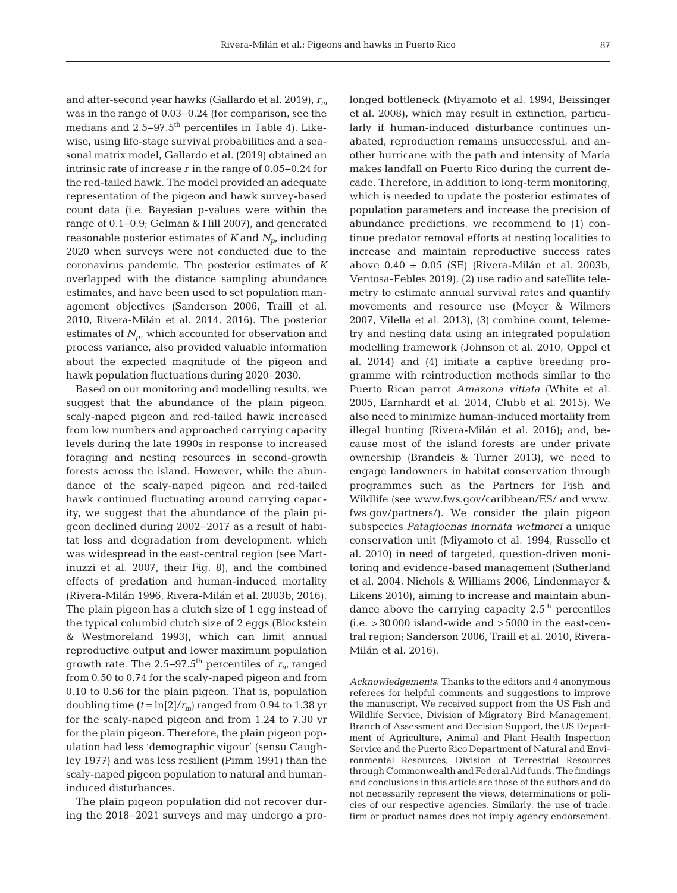and after-second year hawks (Gallardo et al. 2019), *rm* was in the range of 0.03−0.24 (for comparison, see the medians and 2.5–97.5<sup>th</sup> percentiles in Table 4). Likewise, using life-stage survival probabilities and a seasonal matrix model, Gallardo et al. (2019) obtained an intrinsic rate of increase *r* in the range of 0.05−0.24 for the red-tailed hawk. The model provided an adequate representation of the pigeon and hawk survey-based count data (i.e. Bayesian p-values were within the range of 0.1−0.9; Gelman & Hill 2007), and generated reasonable posterior estimates of  $K$  and  $N_p$ , including 2020 when surveys were not conducted due to the coronavirus pande mic. The posterior estimates of *K* overlapped with the distance sampling abundance estimates, and have been used to set population management objectives (Sanderson 2006, Traill et al. 2010, Rivera-Milán et al. 2014, 2016). The posterior estimates of  $N_p$ , which accounted for observation and process variance, also provided valuable information about the expected magnitude of the pigeon and hawk population fluctuations during 2020−2030.

Based on our monitoring and modelling results, we suggest that the abundance of the plain pigeon, scaly-naped pigeon and red-tailed hawk increased from low numbers and approached carrying capacity levels during the late 1990s in response to increased foraging and nesting resources in second-growth forests across the island. However, while the abundance of the scaly-naped pigeon and red-tailed hawk continued fluctuating around carrying capacity, we suggest that the abundance of the plain pigeon declined during 2002−2017 as a result of habitat loss and degradation from development, which was widespread in the east-central region (see Martinuzzi et al. 2007, their Fig. 8), and the combined effects of predation and human-induced mortality (Rivera-Milán 1996, Rivera-Milán et al. 2003b, 2016). The plain pigeon has a clutch size of 1 egg instead of the typical columbid clutch size of 2 eggs (Blockstein & Westmoreland 1993), which can limit annual reproductive output and lower maximum population growth rate. The 2.5−97.5th percentiles of *rm* ranged from 0.50 to 0.74 for the scaly-naped pigeon and from 0.10 to 0.56 for the plain pigeon. That is, population doubling time  $(t = \ln[2]/r_m)$  ranged from 0.94 to 1.38 yr for the scaly-naped pigeon and from 1.24 to 7.30 yr for the plain pigeon. Therefore, the plain pigeon population had less 'demographic vigour' (sensu Caughley 1977) and was less resilient (Pimm 1991) than the scaly-naped pigeon population to natural and humaninduced disturbances.

The plain pigeon population did not recover during the 2018−2021 surveys and may undergo a prolonged bottleneck (Miyamoto et al. 1994, Beissinger et al. 2008), which may result in extinction, particularly if human-induced disturbance continues unabated, reproduction remains unsuccessful, and an other hurricane with the path and intensity of María makes landfall on Puerto Rico during the current de cade. Therefore, in addition to long-term monitoring, which is needed to update the posterior estimates of population parameters and increase the precision of abundance predictions, we recommend to (1) continue predator removal efforts at nesting localities to increase and maintain reproductive success rates above  $0.40 \pm 0.05$  (SE) (Rivera-Milán et al. 2003b, Ventosa-Febles 2019), (2) use radio and satellite tele metry to estimate annual survival rates and quantify movements and resource use (Meyer & Wilmers 2007, Vilella et al. 2013), (3) combine count, telemetry and nesting data using an integrated population modelling framework (Johnson et al. 2010, Oppel et al. 2014) and (4) initiate a captive breeding programme with reintroduction methods similar to the Puerto Rican parrot *Amazona vittata* (White et al. 2005, Earnhardt et al. 2014, Clubb et al. 2015). We also need to minimize human-induced mortality from illegal hunting (Rivera-Milán et al. 2016); and, be cause most of the island forests are under private ownership (Brandeis & Turner 2013), we need to engage landowners in habitat conservation through programmes such as the Partners for Fish and Wildlife (see www.fws.gov/caribbean/ES/ and www. fws.gov/partners/). We consider the plain pigeon sub species *Patagioenas inornata wetmorei* a unique conservation unit (Miyamoto et al. 1994, Russello et al. 2010) in need of targeted, question-driven monitoring and evidence-based management (Sutherland et al. 2004, Nichols & Williams 2006, Lindenmayer & Likens 2010), aiming to increase and maintain abundance above the carrying capacity  $2.5<sup>th</sup>$  percentiles  $(i.e. > 30000$  island-wide and  $>5000$  in the east-central region; Sanderson 2006, Traill et al. 2010, Rivera-Milán et al. 2016).

*Acknowledgements*. Thanks to the editors and 4 anonymous referees for helpful comments and suggestions to improve the manuscript. We received support from the US Fish and Wildlife Service, Division of Migratory Bird Management, Branch of Assessment and Decision Support, the US Department of Agriculture, Animal and Plant Health Inspection Service and the Puerto Rico Department of Natural and Environmental Resources, Division of Terrestrial Resources through Commonwealth and Federal Aid funds. The findings and conclusions in this article are those of the authors and do not necessarily represent the views, determinations or policies of our respective agencies. Similarly, the use of trade, firm or product names does not imply agency endorsement.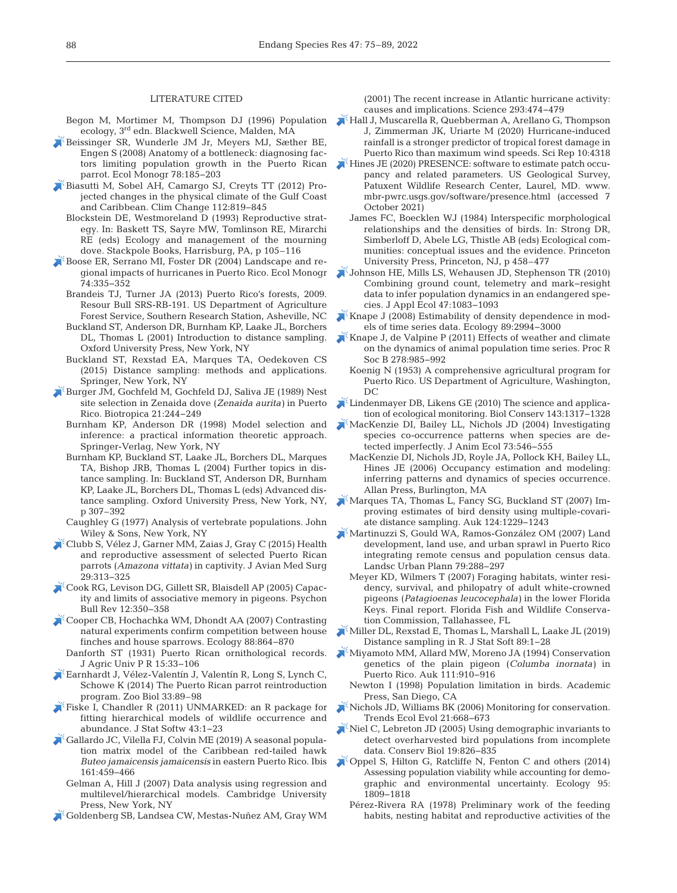#### LITERATURE CITED

- Begon M, Mortimer M, Thompson DJ (1996) Population ecology, 3rd edn. Blackwell Science, Malden, MA
- [Beissinger SR, Wunderle JM Jr, Meyers MJ, Sæther BE,](https://doi.org/10.1890/07-0018.1)  Engen S (2008) Anatomy of a bottleneck: diagnosing factors limiting population growth in the Puerto Rican parrot. Ecol Monogr 78: 185−203
- [Biasutti M, Sobel AH, Camargo SJ, Creyts TT \(2012\) Pro](https://doi.org/10.1007/s10584-011-0254-y)jected changes in the physical climate of the Gulf Coast and Caribbean. Clim Change 112: 819−845
	- Blockstein DE, Westmoreland D (1993) Reproductive strategy. In: Baskett TS, Sayre MW, Tomlinson RE, Mirarchi RE (eds) Ecology and management of the mourning dove. Stackpole Books, Harrisburg, PA, p 105–116
- Boose ER, Serrano MI, Foster DR (2004) Landscape and regional impacts of hurricanes in Puerto Rico. Ecol Monogr 74: 335−352
	- Brandeis TJ, Turner JA (2013) Puerto Rico's forests, 2009. Resour Bull SRS-RB-191. US Department of Agriculture Forest Service, Southern Research Station, Asheville, NC
	- Buckland ST, Anderson DR, Burnham KP, Laake JL, Borchers DL, Thomas L (2001) Introduction to distance sampling. Oxford University Press, New York, NY
	- Buckland ST, Rexstad EA, Marques TA, Oedekoven CS (2015) Distance sampling: methods and applications. Springer, New York, NY
- [Burger JM, Gochfeld M, Gochfeld DJ, Saliva JE \(1989\) Nest](https://doi.org/10.2307/2388651)  site selection in Zenaida dove (*Zenaida aurita)* in Puerto Rico. Biotropica 21: 244−249
	- Burnham KP, Anderson DR (1998) Model selection and inference: a practical information theoretic approach. Springer-Verlag, New York, NY
- Burnham KP, Buckland ST, Laake JL, Borchers DL, Marques TA, Bishop JRB, Thomas L (2004) Further topics in distance sampling. In: Buckland ST, Anderson DR, Burnham KP, Laake JL, Borchers DL, Thomas L (eds) Advanced distance sampling. Oxford University Press, New York, NY, p 307–392
- Caughley G (1977) Analysis of vertebrate populations. John Wiley & Sons, New York, NY
- [Clubb S, Vélez J, Garner MM, Zaias J, Gray C \(2015\) Health](https://doi.org/10.1647/2013-067)  and reproductive assessment of selected Puerto Rican parrots (*Amazona vittata)* in captivity. J Avian Med Surg 29: 313−325
- [Cook RG, Levison DG, Gillett SR, Blaisdell AP \(2005\) Capac](https://doi.org/10.3758/BF03196384)ity and limits of associative memory in pigeons. Psychon Bull Rev 12:350-358
- [Cooper CB, Hochachka WM, Dhondt AA \(2007\) Contrasting](https://doi.org/10.1890/06-0855)  natural experiments confirm competition between house finches and house sparrows. Ecology 88: 864−870
- Danforth ST (1931) Puerto Rican ornithological records. J Agric Univ P R 15: 33−106
- [Earnhardt J, Vélez-Valentín J, Valentín R, Long S, Lynch C,](https://doi.org/10.1002/zoo.21109)  Schowe K (2014) The Puerto Rican parrot reintroduction program. Zoo Biol 33:89–98
- [Fiske I, Chandler R \(2011\) UNMARKED:an R package for](https://doi.org/10.18637/jss.v043.i10)  fitting hierarchical models of wildlife occurrence and abundance. J Stat Softw 43: 1−23
- [Gallardo JC, Vilella FJ, Colvin ME \(2019\) A seasonal popula](https://doi.org/10.1111/ibi.12703)tion matrix model of the Caribbean red-tailed hawk *Buteo jamaicensis jamaicensis* in eastern Puerto Rico. Ibis 161: 459–466
	- Gelman A, Hill J (2007) Data analysis using regression and multilevel/hierarchical models. Cambridge University Press, New York, NY
- [Goldenberg SB, Landsea CW, Mestas-Nuñez AM, Gray WM](https://doi.org/10.1126/science.1060040)

(2001) The recent increase in Atlantic hurricane activity: causes and implications. Science 293: 474−479

- [Hall J, Muscarella R, Quebberman A, Arellano G, Thompson](https://doi.org/10.1038/s1598-020-61164-2)  J, Zimmerman JK, Uriarte M (2020) Hurricane-induced rainfall is a stronger predictor of tropical forest damage in Puerto Rico than maximum wind speeds. Sci Rep 10:4318
- Hines JE (2020) PRESENCE: software to estimate patch occupancy and related parameters. US Geological Survey, Patuxent Wildlife Research Center, Laurel, MD. www. mbr-pwrc.usgs.gov/software/presence.html (accessed 7 October 2021)
	- James FC, Boecklen WJ (1984) Interspecific morphological relationships and the densities of birds. In: Strong DR, Simberloff D, Abele LG, Thistle AB (eds) Ecological communities: conceptual issues and the evidence. Princeton University Press, Princeton, NJ, p 458–477
- [Johnson HE, Mills LS, Wehausen JD, Stephenson TR \(2010\)](https://doi.org/10.1111/j.1365-2664.2010.01846.x)  Combining ground count, telemetry and mark−resight data to infer population dynamics in an endangered species. J Appl Ecol 47: 1083−1093
- $\blacktriangleright$  [Knape J \(2008\) Estimability of density dependence in mod](https://doi.org/10.1890/08-0071.1)els of time series data. Ecology 89: 2994−3000
- [Knape J, de Valpine P \(2011\) Effects of weather and climate](https://doi.org/10.1098/rspb.2010.1333)  on the dynamics of animal population time series. Proc R Soc B 278:985-992
- Koenig N (1953) A comprehensive agricultural program for Puerto Rico. US Department of Agriculture, Washington, DC
- [Lindenmayer DB, Likens GE \(2010\) The science and applica](https://doi.org/10.1016/j.biocon.2010.02.013)tion of ecological monitoring. Biol Conserv 143: 1317−1328
- [MacKenzie DI, Bailey LL, Nichols JD \(2004\) Investigating](https://doi.org/10.1111/j.0021-8790.2004.00828.x)  species co-occurrence patterns when species are detected imperfectly. J Anim Ecol 73:546-555
	- MacKenzie DI, Nichols JD, Royle JA, Pollock KH, Bailey LL, Hines JE (2006) Occupancy estimation and modeling: inferring patterns and dynamics of species occurrence. Allan Press, Burlington, MA
- [Marques TA, Thomas L, Fancy SG, Buckland ST \(2007\) Im](https://doi.org/10.1093/auk/124.4.1229)  proving estimates of bird density using multiple-covariate distance sampling. Auk 124: 1229−1243
- [Martinuzzi S, Gould WA, Ramos-González OM \(2007\) Land](https://doi.org/10.1016/j.landurbplan.2006.02.014)  development, land use, and urban sprawl in Puerto Rico integrating remote census and population census data. Landsc Urban Plann 79: 288−297
- Meyer KD, Wilmers T (2007) Foraging habitats, winter residency, survival, and philopatry of adult white-crowned pigeons (*Patagioenas leucocephala)* in the lower Florida Keys. Final report. Florida Fish and Wildlife Conservation Commission, Tallahassee, FL
- [Miller DL, Rexstad E, Thomas L, Marshall L, Laake JL \(2019\)](https://doi.org/10.18637/jss.v089.i01)  Distance sampling in R. J Stat Soft 89: 1−28
- [Miyamoto MM, Allard MW, Moreno JA \(1994\) Conservation](https://doi.org/10.2307/4088823)  genetics of the plain pigeon (*Columba inornata)* in Puerto Rico. Auk 111:910-916
- Newton I (1998) Population limitation in birds. Academic Press, San Diego, CA
- [Nichols JD, Williams BK \(2006\) Monitoring for conservation.](https://doi.org/10.1016/j.tree.2006.08.007)  Trends Ecol Evol 21:668-673
- $\blacktriangleright$  Niel C, Lebreton JD (2005) Using demographic invariants to detect overharvested bird populations from incomplete data. Conserv Biol 19: 826−835
- [Oppel S, Hilton G, Ratcliffe N, Fenton C and others \(2014\)](https://doi.org/10.1890/13-0733.1)  Assessing population viability while accounting for demographic and environmental uncertainty. Ecology 95: 1809−1818
	- Pérez-Rivera RA (1978) Preliminary work of the feeding habits, nesting habitat and reproductive activities of the